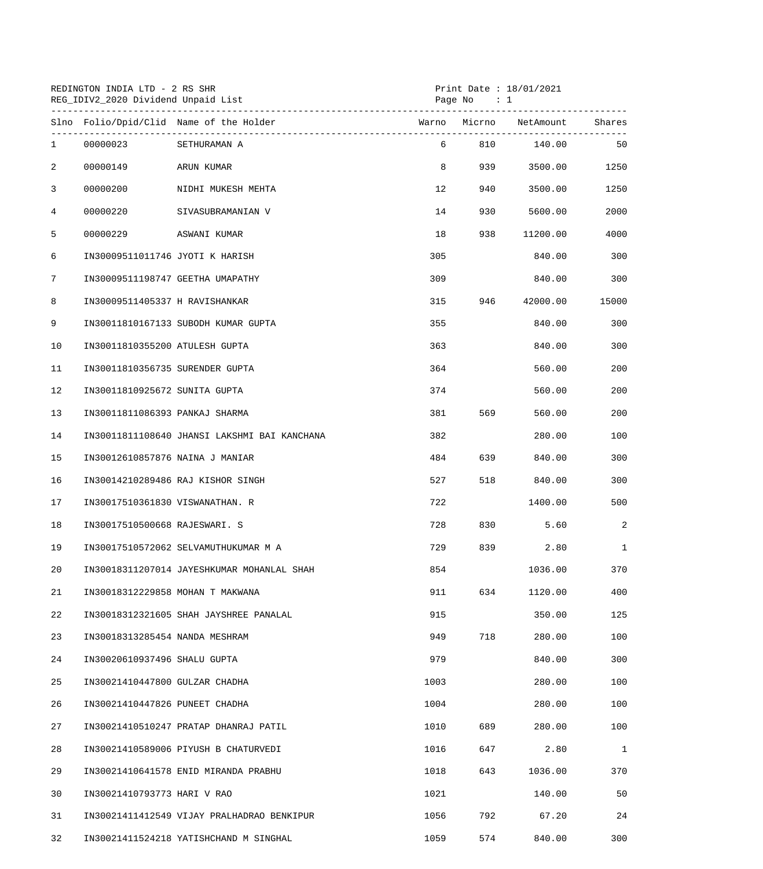|              | REDINGTON INDIA LTD - 2 RS SHR<br>REG_IDIV2_2020 Dividend Unpaid List<br>------------------------------ |                                              |      | Print Date : $18/01/2021$<br>Page No<br>$\cdots$ $\cdots$ |                        |              |
|--------------|---------------------------------------------------------------------------------------------------------|----------------------------------------------|------|-----------------------------------------------------------|------------------------|--------------|
|              |                                                                                                         | Slno Folio/Dpid/Clid Name of the Holder      |      |                                                           | Warno Micrno NetAmount | Shares       |
| $\mathbf{1}$ | 00000023                                                                                                | SETHURAMAN A                                 |      | $6 \quad \text{or}$<br>810                                | 140.00                 | 50           |
| 2            | 00000149                                                                                                | ARUN KUMAR                                   | 8    | 939                                                       | 3500.00                | 1250         |
| 3            | 00000200                                                                                                | NIDHI MUKESH MEHTA                           |      | 12<br>940                                                 | 3500.00                | 1250         |
| 4            | 00000220                                                                                                | SIVASUBRAMANIAN V                            | 14   | 930 — 10                                                  | 5600.00                | 2000         |
| 5            | 00000229                                                                                                | ASWANI KUMAR                                 | 18   | 938                                                       | 11200.00               | 4000         |
| 6            | IN30009511011746 JYOTI K HARISH                                                                         |                                              | 305  |                                                           | 840.00                 | 300          |
| 7            |                                                                                                         | IN30009511198747 GEETHA UMAPATHY             | 309  |                                                           | 840.00                 | 300          |
| 8            | IN30009511405337 H RAVISHANKAR                                                                          |                                              | 315  | 946 — 10                                                  | 42000.00               | 15000        |
| 9            |                                                                                                         | IN30011810167133 SUBODH KUMAR GUPTA          | 355  |                                                           | 840.00                 | 300          |
| 10           | IN30011810355200 ATULESH GUPTA                                                                          |                                              | 363  |                                                           | 840.00                 | 300          |
| 11           | IN30011810356735 SURENDER GUPTA                                                                         |                                              | 364  |                                                           | 560.00                 | 200          |
| 12           | IN30011810925672 SUNITA GUPTA                                                                           |                                              | 374  |                                                           | 560.00                 | 200          |
| 13           | IN30011811086393 PANKAJ SHARMA                                                                          |                                              | 381  | 569                                                       | 560.00                 | 200          |
| 14           |                                                                                                         | IN30011811108640 JHANSI LAKSHMI BAI KANCHANA | 382  |                                                           | 280.00                 | 100          |
| 15           | IN30012610857876 NAINA J MANIAR                                                                         |                                              | 484  | 639 — 10                                                  | 840.00                 | 300          |
| 16           |                                                                                                         | IN30014210289486 RAJ KISHOR SINGH            | 527  | 518                                                       | 840.00                 | 300          |
| 17           | IN30017510361830 VISWANATHAN. R                                                                         |                                              | 722  |                                                           | 1400.00                | 500          |
| 18           | IN30017510500668 RAJESWARI. S                                                                           |                                              | 728  | 830                                                       | 5.60                   | 2            |
| 19           |                                                                                                         | IN30017510572062 SELVAMUTHUKUMAR M A         | 729  | 839                                                       | 2.80                   | $\mathbf{1}$ |
| 20           |                                                                                                         | IN30018311207014 JAYESHKUMAR MOHANLAL SHAH   | 854  |                                                           | 1036.00                | 370          |
| 21           |                                                                                                         | IN30018312229858 MOHAN T MAKWANA             | 911  | 634                                                       | 1120.00                | 400          |
| 22           |                                                                                                         | IN30018312321605 SHAH JAYSHREE PANALAL       | 915  |                                                           | 350.00                 | 125          |
| 23           | IN30018313285454 NANDA MESHRAM                                                                          |                                              | 949  | 718                                                       | 280.00                 | 100          |
| 24           | IN30020610937496 SHALU GUPTA                                                                            |                                              | 979  |                                                           | 840.00                 | 300          |
| 25           | IN30021410447800 GULZAR CHADHA                                                                          |                                              | 1003 |                                                           | 280.00                 | 100          |
| 26           | IN30021410447826 PUNEET CHADHA                                                                          |                                              | 1004 |                                                           | 280.00                 | 100          |
| 27           |                                                                                                         | IN30021410510247 PRATAP DHANRAJ PATIL        | 1010 | 689                                                       | 280.00                 | 100          |
| 28           |                                                                                                         | IN30021410589006 PIYUSH B CHATURVEDI         | 1016 | 647                                                       | 2.80                   | $\mathbf{1}$ |
| 29           |                                                                                                         | IN30021410641578 ENID MIRANDA PRABHU         | 1018 | 643                                                       | 1036.00                | 370          |
| 30           | IN30021410793773 HARI V RAO                                                                             |                                              | 1021 |                                                           | 140.00                 | 50           |
| 31           |                                                                                                         | IN30021411412549 VIJAY PRALHADRAO BENKIPUR   | 1056 | 792                                                       | 67.20                  | 24           |
| 32           |                                                                                                         | IN30021411524218 YATISHCHAND M SINGHAL       | 1059 | 574                                                       | 840.00                 | 300          |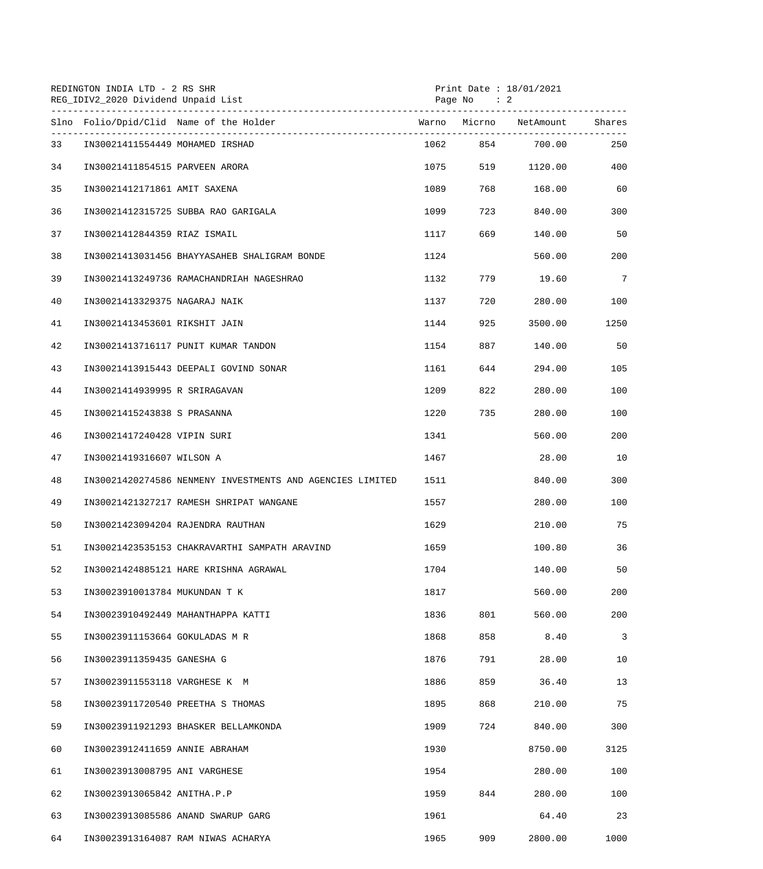|    | REDINGTON INDIA LTD - 2 RS SHR<br>REG_IDIV2_2020 Dividend Unpaid List |      | Page No : 2 | Print Date : $18/01/2021$     |      |
|----|-----------------------------------------------------------------------|------|-------------|-------------------------------|------|
|    | Slno Folio/Dpid/Clid Name of the Holder                               |      |             | Warno Micrno NetAmount Shares |      |
| 33 | IN30021411554449 MOHAMED IRSHAD                                       |      |             | 1062 854 700.00               | 250  |
| 34 | IN30021411854515 PARVEEN ARORA                                        | 1075 | 519         | 1120.00                       | 400  |
| 35 | IN30021412171861 AMIT SAXENA                                          | 1089 | 768         | 168.00                        | 60   |
| 36 | IN30021412315725 SUBBA RAO GARIGALA                                   | 1099 | 723         | 840.00                        | 300  |
| 37 | IN30021412844359 RIAZ ISMAIL                                          | 1117 | 669 — 10    | 140.00                        | 50   |
| 38 | IN30021413031456 BHAYYASAHEB SHALIGRAM BONDE                          | 1124 |             | 560.00                        | 200  |
| 39 | IN30021413249736 RAMACHANDRIAH NAGESHRAO                              | 1132 | 779         | 19.60                         | 7    |
| 40 | IN30021413329375 NAGARAJ NAIK                                         | 1137 | 720         | 280.00                        | 100  |
| 41 | IN30021413453601 RIKSHIT JAIN                                         | 1144 | 925         | 3500.00                       | 1250 |
| 42 | IN30021413716117 PUNIT KUMAR TANDON                                   | 1154 | 887         | 140.00                        | 50   |
| 43 | IN30021413915443 DEEPALI GOVIND SONAR                                 | 1161 | 644         | 294.00                        | 105  |
| 44 | IN30021414939995 R SRIRAGAVAN                                         | 1209 | 822         | 280.00                        | 100  |
| 45 | IN30021415243838 S PRASANNA                                           | 1220 | 735         | 280.00                        | 100  |
| 46 | IN30021417240428 VIPIN SURI                                           | 1341 |             | 560.00                        | 200  |
| 47 | IN30021419316607 WILSON A                                             | 1467 |             | 28.00                         | 10   |
| 48 | IN30021420274586 NENMENY INVESTMENTS AND AGENCIES LIMITED             | 1511 |             | 840.00                        | 300  |
| 49 | IN30021421327217 RAMESH SHRIPAT WANGANE                               | 1557 |             | 280.00                        | 100  |
| 50 | IN30021423094204 RAJENDRA RAUTHAN                                     | 1629 |             | 210.00                        | 75   |
| 51 | IN30021423535153 CHAKRAVARTHI SAMPATH ARAVIND                         | 1659 |             | 100.80                        | 36   |
| 52 | IN30021424885121 HARE KRISHNA AGRAWAL                                 | 1704 |             | 140.00                        | 50   |
| 53 | IN30023910013784 MUKUNDAN T K                                         | 1817 |             | 560.00                        | 200  |
| 54 | IN30023910492449 MAHANTHAPPA KATTI                                    | 1836 | 801         | 560.00                        | 200  |
| 55 | IN30023911153664 GOKULADAS M R                                        | 1868 | 858         | 8.40                          | 3    |
| 56 | IN30023911359435 GANESHA G                                            | 1876 | 791         | 28.00                         | 10   |
| 57 | IN30023911553118 VARGHESE K M                                         | 1886 | 859         | 36.40                         | 13   |
| 58 | IN30023911720540 PREETHA S THOMAS                                     | 1895 | 868         | 210.00                        | 75   |
| 59 | IN30023911921293 BHASKER BELLAMKONDA                                  | 1909 | 724         | 840.00                        | 300  |
| 60 | IN30023912411659 ANNIE ABRAHAM                                        | 1930 |             | 8750.00                       | 3125 |
| 61 | IN30023913008795 ANI VARGHESE                                         | 1954 |             | 280.00                        | 100  |
| 62 | IN30023913065842 ANITHA.P.P                                           | 1959 | 844         | 280.00                        | 100  |
| 63 | IN30023913085586 ANAND SWARUP GARG                                    | 1961 |             | 64.40                         | 23   |
| 64 | IN30023913164087 RAM NIWAS ACHARYA                                    | 1965 | 909         | 2800.00                       | 1000 |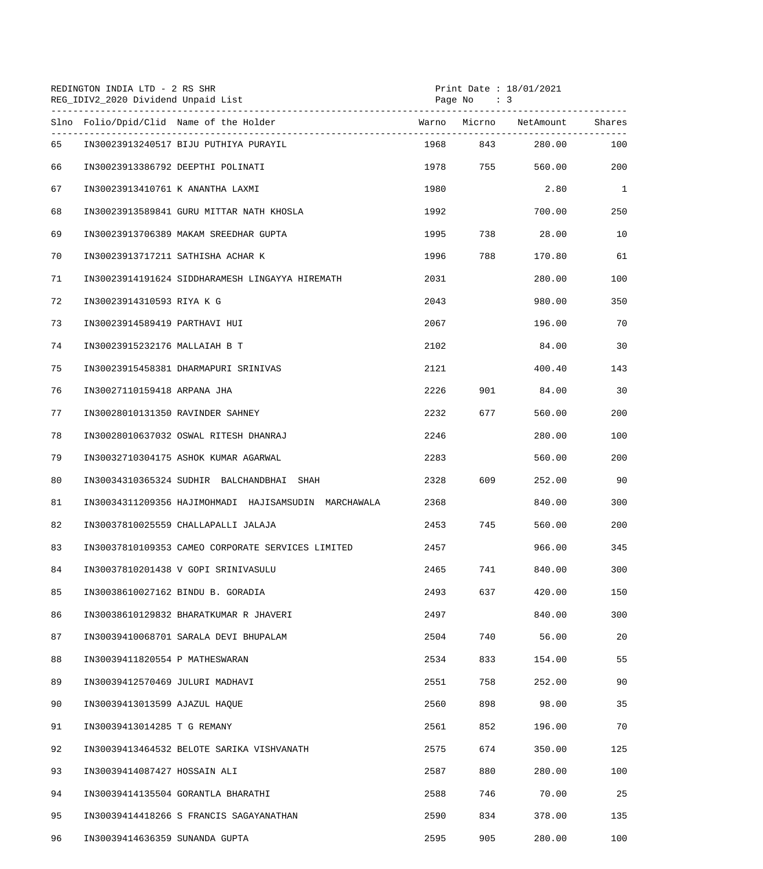| REDINGTON INDIA LTD - 2 RS SHR<br>REG_IDIV2_2020 Dividend Unpaid List |                             |                                                      |             | Print Date : $18/01/2021$<br>Page No $: 3$ |                        |              |  |
|-----------------------------------------------------------------------|-----------------------------|------------------------------------------------------|-------------|--------------------------------------------|------------------------|--------------|--|
|                                                                       |                             | Slno Folio/Dpid/Clid Name of the Holder              |             |                                            | Warno Micrno NetAmount | Shares       |  |
| 65                                                                    |                             | IN30023913240517 BIJU PUTHIYA PURAYIL                |             | 1968 843                                   | 280.00                 | 100          |  |
| 66                                                                    |                             | IN30023913386792 DEEPTHI POLINATI                    |             | 1978 755                                   | 560.00                 | 200          |  |
| 67                                                                    |                             | IN30023913410761 K ANANTHA LAXMI                     | 1980        |                                            | 2.80                   | $\mathbf{1}$ |  |
| 68                                                                    |                             | IN30023913589841 GURU MITTAR NATH KHOSLA             | 1992        |                                            | 700.00                 | 250          |  |
| 69                                                                    |                             | IN30023913706389 MAKAM SREEDHAR GUPTA                | 1995        | 738                                        | 28.00                  | 10           |  |
| 70                                                                    |                             | IN30023913717211 SATHISHA ACHAR K                    | 1996 — 1996 | 788 — 1                                    | 170.80                 | 61           |  |
| 71                                                                    |                             | IN30023914191624 SIDDHARAMESH LINGAYYA HIREMATH      | 2031        |                                            | 280.00                 | 100          |  |
| 72                                                                    | IN30023914310593 RIYA K G   |                                                      | 2043        |                                            | 980.00                 | 350          |  |
| 73                                                                    |                             | IN30023914589419 PARTHAVI HUI                        | 2067        |                                            | 196.00                 | 70           |  |
| 74                                                                    |                             | IN30023915232176 MALLAIAH B T                        | 2102        |                                            | 84.00                  | 30           |  |
| 75                                                                    |                             | IN30023915458381 DHARMAPURI SRINIVAS                 | 2121        |                                            | 400.40                 | 143          |  |
| 76                                                                    | IN30027110159418 ARPANA JHA |                                                      | 2226        |                                            | 901 84.00              | 30           |  |
| 77                                                                    |                             | IN30028010131350 RAVINDER SAHNEY                     | 2232        | 677 — 10                                   | 560.00                 | 200          |  |
| 78                                                                    |                             | IN30028010637032 OSWAL RITESH DHANRAJ                | 2246        |                                            | 280.00                 | 100          |  |
| 79                                                                    |                             | IN30032710304175 ASHOK KUMAR AGARWAL                 | 2283        |                                            | 560.00                 | 200          |  |
| 80                                                                    |                             | IN30034310365324 SUDHIR BALCHANDBHAI SHAH            | 2328        | 609 — 10                                   | 252.00                 | 90           |  |
| 81                                                                    |                             | IN30034311209356 HAJIMOHMADI HAJISAMSUDIN MARCHAWALA | 2368        |                                            | 840.00                 | 300          |  |
| 82                                                                    |                             | IN30037810025559 CHALLAPALLI JALAJA                  | 2453        | 745                                        | 560.00                 | 200          |  |
| 83                                                                    |                             | IN30037810109353 CAMEO CORPORATE SERVICES LIMITED    | 2457        |                                            | 966.00                 | 345          |  |
| 84                                                                    |                             | IN30037810201438 V GOPI SRINIVASULU                  | 2465        | 741                                        | 840.00                 | 300          |  |
| 85                                                                    |                             | IN30038610027162 BINDU B. GORADIA                    | 2493        | 637                                        | 420.00                 | 150          |  |
| 86                                                                    |                             | IN30038610129832 BHARATKUMAR R JHAVERI               | 2497        |                                            | 840.00                 | 300          |  |
| 87                                                                    |                             | IN30039410068701 SARALA DEVI BHUPALAM                | 2504        | 740                                        | 56.00                  | 20           |  |
| 88                                                                    |                             | IN30039411820554 P MATHESWARAN                       | 2534        | 833                                        | 154.00                 | 55           |  |
| 89                                                                    |                             | IN30039412570469 JULURI MADHAVI                      | 2551        | 758                                        | 252.00                 | 90           |  |
| 90                                                                    |                             | IN30039413013599 AJAZUL HAQUE                        | 2560        | 898                                        | 98.00                  | 35           |  |
| 91                                                                    | IN30039413014285 T G REMANY |                                                      | 2561        | 852                                        | 196.00                 | 70           |  |
| 92                                                                    |                             | IN30039413464532 BELOTE SARIKA VISHVANATH            | 2575        | 674                                        | 350.00                 | 125          |  |
| 93                                                                    |                             | IN30039414087427 HOSSAIN ALI                         | 2587        | 880                                        | 280.00                 | 100          |  |
| 94                                                                    |                             | IN30039414135504 GORANTLA BHARATHI                   | 2588        | 746                                        | 70.00                  | 25           |  |
| 95                                                                    |                             | IN30039414418266 S FRANCIS SAGAYANATHAN              | 2590        | 834                                        | 378.00                 | 135          |  |
| 96                                                                    |                             | IN30039414636359 SUNANDA GUPTA                       | 2595        | 905                                        | 280.00                 | 100          |  |
|                                                                       |                             |                                                      |             |                                            |                        |              |  |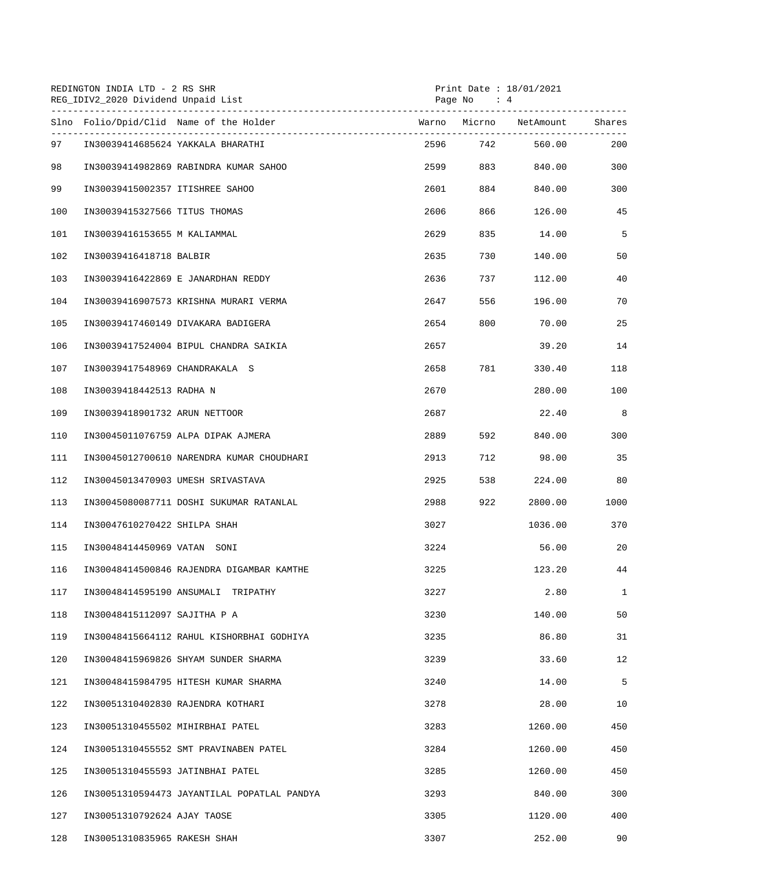|     | REDINGTON INDIA LTD - 2 RS SHR<br>REG_IDIV2_2020 Dividend Unpaid List |        | Page No<br>$\cdot$ 4 | Print Date: 18/01/2021 |              |
|-----|-----------------------------------------------------------------------|--------|----------------------|------------------------|--------------|
|     | Slno Folio/Dpid/Clid Name of the Holder                               |        |                      | Warno Micrno NetAmount | Shares       |
| 97  | IN30039414685624 YAKKALA BHARATHI                                     |        | 2596 742             | 560.00                 | 200          |
| 98  | IN30039414982869 RABINDRA KUMAR SAHOO                                 | 2599   | 883                  | 840.00                 | 300          |
| 99  | IN30039415002357 ITISHREE SAHOO                                       | 2601 7 | 884 — 18             | 840.00                 | 300          |
| 100 | IN30039415327566 TITUS THOMAS                                         | 2606   | 866                  | 126.00                 | 45           |
| 101 | IN30039416153655 M KALIAMMAL                                          | 2629   | 835                  | 14.00                  | 5            |
| 102 | IN30039416418718 BALBIR                                               | 2635   | 730                  | 140.00                 | 50           |
| 103 | IN30039416422869 E JANARDHAN REDDY                                    | 2636   | 737                  | 112.00                 | 40           |
| 104 | IN30039416907573 KRISHNA MURARI VERMA                                 | 2647   | 556                  | 196.00                 | 70           |
| 105 | IN30039417460149 DIVAKARA BADIGERA                                    | 2654   | 800                  | 70.00                  | 25           |
| 106 | IN30039417524004 BIPUL CHANDRA SAIKIA                                 | 2657   |                      | 39.20                  | 14           |
| 107 | IN30039417548969 CHANDRAKALA S                                        | 2658   | 781 781 12           | 330.40                 | 118          |
| 108 | IN30039418442513 RADHA N                                              | 2670   |                      | 280.00                 | 100          |
| 109 | IN30039418901732 ARUN NETTOOR                                         | 2687   |                      | 22.40                  | 8            |
| 110 | IN30045011076759 ALPA DIPAK AJMERA                                    | 2889   | 592                  | 840.00                 | 300          |
| 111 | IN30045012700610 NARENDRA KUMAR CHOUDHARI                             | 2913   | 712                  | 98.00                  | 35           |
| 112 | IN30045013470903 UMESH SRIVASTAVA                                     | 2925   | 538                  | 224.00                 | 80           |
| 113 | IN30045080087711 DOSHI SUKUMAR RATANLAL                               | 2988   | 922                  | 2800.00                | 1000         |
| 114 | IN30047610270422 SHILPA SHAH                                          | 3027   |                      | 1036.00                | 370          |
| 115 | IN30048414450969 VATAN SONI                                           | 3224   |                      | 56.00                  | 20           |
| 116 | IN30048414500846 RAJENDRA DIGAMBAR KAMTHE                             | 3225   |                      | 123.20                 | 44           |
| 117 | IN30048414595190 ANSUMALI TRIPATHY                                    | 3227   |                      | 2.80                   | $\mathbf{1}$ |
| 118 | IN30048415112097 SAJITHA P A                                          | 3230   |                      | 140.00                 | 50           |
| 119 | IN30048415664112 RAHUL KISHORBHAI GODHIYA                             | 3235   |                      | 86.80                  | 31           |
| 120 | IN30048415969826 SHYAM SUNDER SHARMA                                  | 3239   |                      | 33.60                  | 12           |
| 121 | IN30048415984795 HITESH KUMAR SHARMA                                  | 3240   |                      | 14.00                  | 5            |
| 122 | IN30051310402830 RAJENDRA KOTHARI                                     | 3278   |                      | 28.00                  | 10           |
| 123 | IN30051310455502 MIHIRBHAI PATEL                                      | 3283   |                      | 1260.00                | 450          |
| 124 | IN30051310455552 SMT PRAVINABEN PATEL                                 | 3284   |                      | 1260.00                | 450          |
| 125 | IN30051310455593 JATINBHAI PATEL                                      | 3285   |                      | 1260.00                | 450          |
| 126 | IN30051310594473 JAYANTILAL POPATLAL PANDYA                           | 3293   |                      | 840.00                 | 300          |
| 127 | IN30051310792624 AJAY TAOSE                                           | 3305   |                      | 1120.00                | 400          |
| 128 | IN30051310835965 RAKESH SHAH                                          | 3307   |                      | 252.00                 | 90           |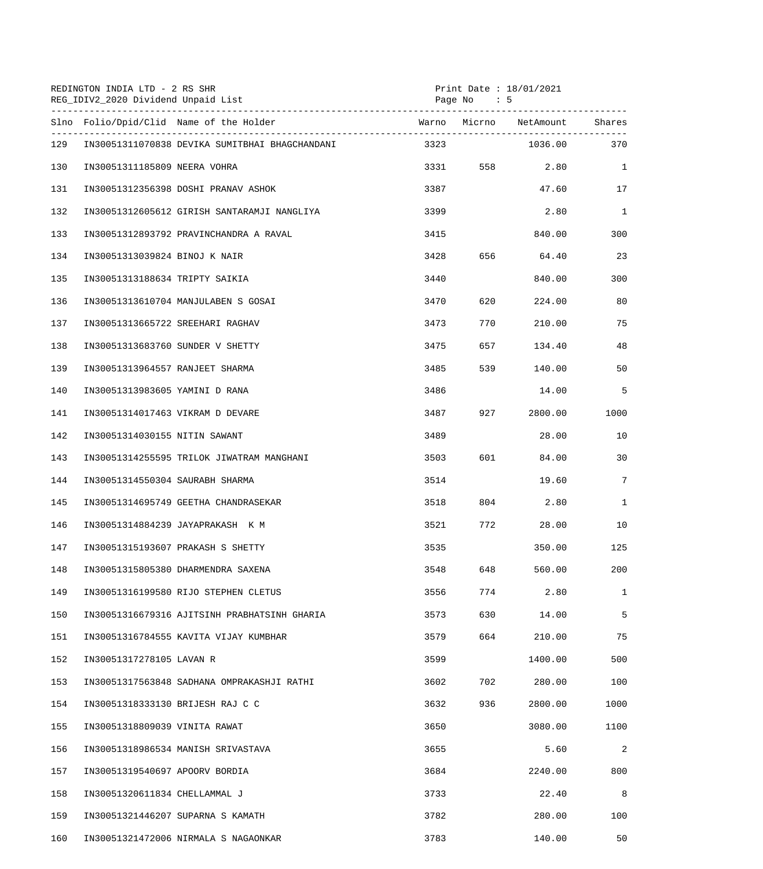|     | REDINGTON INDIA LTD - 2 RS SHR<br>REG_IDIV2_2020 Dividend Unpaid List<br>-------------------------------- |      | Print Date : $18/01/2021$<br>$\cdot$ 5<br>Page No |                  |                 |  |
|-----|-----------------------------------------------------------------------------------------------------------|------|---------------------------------------------------|------------------|-----------------|--|
|     | Slno Folio/Dpid/Clid Name of the Holder                                                                   |      |                                                   |                  | Shares          |  |
| 129 | IN30051311070838 DEVIKA SUMITBHAI BHAGCHANDANI                                                            | 3323 |                                                   | 1036.00          | 370             |  |
| 130 | IN30051311185809 NEERA VOHRA                                                                              |      | 3331 558                                          | 2.80             | $\mathbf{1}$    |  |
| 131 | IN30051312356398 DOSHI PRANAV ASHOK                                                                       | 3387 |                                                   | 47.60            | 17              |  |
| 132 | IN30051312605612 GIRISH SANTARAMJI NANGLIYA                                                               | 3399 |                                                   | 2.80             | $\mathbf{1}$    |  |
| 133 | IN30051312893792 PRAVINCHANDRA A RAVAL                                                                    | 3415 |                                                   | 840.00           | 300             |  |
| 134 | IN30051313039824 BINOJ K NAIR                                                                             | 3428 | 656 70                                            | 64.40            | 23              |  |
| 135 | IN30051313188634 TRIPTY SAIKIA                                                                            | 3440 |                                                   | 840.00           | 300             |  |
| 136 | IN30051313610704 MANJULABEN S GOSAI                                                                       | 3470 | 620                                               | 224.00           | 80              |  |
| 137 | IN30051313665722 SREEHARI RAGHAV                                                                          | 3473 | 770                                               | 210.00           | 75              |  |
| 138 | IN30051313683760 SUNDER V SHETTY                                                                          | 3475 | 657 — 10                                          | 134.40           | 48              |  |
| 139 | IN30051313964557 RANJEET SHARMA                                                                           | 3485 | 539                                               | 140.00           | 50              |  |
| 140 | IN30051313983605 YAMINI D RANA                                                                            | 3486 |                                                   | 14.00            | 5               |  |
| 141 | IN30051314017463 VIKRAM D DEVARE                                                                          | 3487 | 927                                               | 2800.00          | 1000            |  |
| 142 | IN30051314030155 NITIN SAWANT                                                                             | 3489 |                                                   | 28.00            | 10              |  |
| 143 | IN30051314255595 TRILOK JIWATRAM MANGHANI                                                                 | 3503 |                                                   | 601 700<br>84.00 | 30              |  |
| 144 | IN30051314550304 SAURABH SHARMA                                                                           | 3514 |                                                   | 19.60            | $7\overline{ }$ |  |
| 145 | IN30051314695749 GEETHA CHANDRASEKAR                                                                      | 3518 |                                                   | 804 2.80         | $\mathbf{1}$    |  |
| 146 | IN30051314884239 JAYAPRAKASH K M                                                                          | 3521 | 772                                               | 28.00            | 10              |  |
| 147 | IN30051315193607 PRAKASH S SHETTY                                                                         | 3535 |                                                   | 350.00           | 125             |  |
| 148 | IN30051315805380 DHARMENDRA SAXENA                                                                        | 3548 | 648                                               | 560.00           | 200             |  |
| 149 | IN30051316199580 RIJO STEPHEN CLETUS                                                                      | 3556 | 774                                               | 2.80             | $\mathbf{1}$    |  |
| 150 | IN30051316679316 AJITSINH PRABHATSINH GHARIA                                                              | 3573 | 630                                               | 14.00            | 5               |  |
| 151 | IN30051316784555 KAVITA VIJAY KUMBHAR                                                                     | 3579 | 664                                               | 210.00           | 75              |  |
| 152 | IN30051317278105 LAVAN R                                                                                  | 3599 |                                                   | 1400.00          | 500             |  |
| 153 | IN30051317563848 SADHANA OMPRAKASHJI RATHI                                                                | 3602 | 702                                               | 280.00           | 100             |  |
| 154 | IN30051318333130 BRIJESH RAJ C C                                                                          | 3632 | 936                                               | 2800.00          | 1000            |  |
| 155 | IN30051318809039 VINITA RAWAT                                                                             | 3650 |                                                   | 3080.00          | 1100            |  |
| 156 | IN30051318986534 MANISH SRIVASTAVA                                                                        | 3655 |                                                   | 5.60             | 2               |  |
| 157 | IN30051319540697 APOORV BORDIA                                                                            | 3684 |                                                   | 2240.00          | 800             |  |
| 158 | IN30051320611834 CHELLAMMAL J                                                                             | 3733 |                                                   | 22.40            | 8               |  |
| 159 | IN30051321446207 SUPARNA S KAMATH                                                                         | 3782 |                                                   | 280.00           | 100             |  |
| 160 | IN30051321472006 NIRMALA S NAGAONKAR                                                                      | 3783 |                                                   | 140.00           | 50              |  |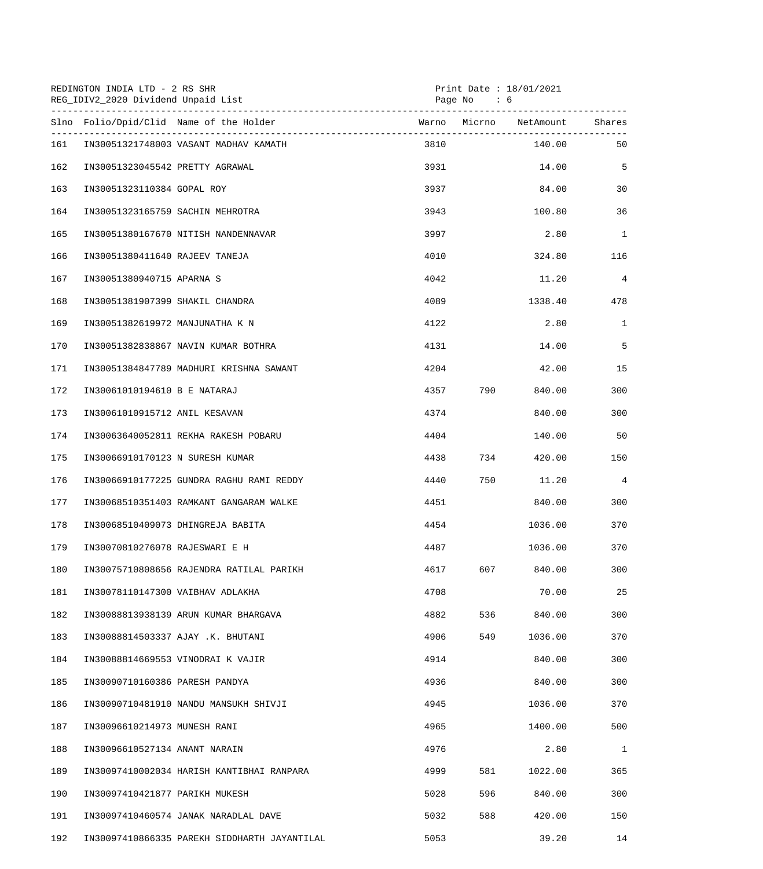|     | REDINGTON INDIA LTD - 2 RS SHR<br>REG_IDIV2_2020 Dividend Unpaid List |                                              |      | Page $No$ : 6 | Print Date: 18/01/2021 |                |
|-----|-----------------------------------------------------------------------|----------------------------------------------|------|---------------|------------------------|----------------|
|     | Slno Folio/Dpid/Clid Name of the Holder                               |                                              |      |               |                        | Shares         |
| 161 | IN30051321748003 VASANT MADHAV KAMATH                                 |                                              | 3810 |               | 140.00                 | 50             |
| 162 | IN30051323045542 PRETTY AGRAWAL                                       |                                              | 3931 |               | 14.00                  | 5              |
| 163 | IN30051323110384 GOPAL ROY                                            |                                              | 3937 |               | 84.00                  | 30             |
| 164 | IN30051323165759 SACHIN MEHROTRA                                      |                                              | 3943 |               | 100.80                 | 36             |
| 165 | IN30051380167670 NITISH NANDENNAVAR                                   |                                              | 3997 |               | 2.80                   | $\mathbf{1}$   |
| 166 | IN30051380411640 RAJEEV TANEJA                                        |                                              | 4010 |               | 324.80                 | 116            |
| 167 | IN30051380940715 APARNA S                                             |                                              | 4042 |               | 11.20                  | $\overline{4}$ |
| 168 | IN30051381907399 SHAKIL CHANDRA                                       |                                              | 4089 |               | 1338.40                | 478            |
| 169 | IN30051382619972 MANJUNATHA K N                                       |                                              | 4122 |               | 2.80                   | $\mathbf{1}$   |
| 170 | IN30051382838867 NAVIN KUMAR BOTHRA                                   |                                              | 4131 |               | 14.00                  | 5              |
| 171 |                                                                       | IN30051384847789 MADHURI KRISHNA SAWANT      | 4204 |               | 42.00                  | 15             |
| 172 | IN30061010194610 B E NATARAJ                                          |                                              | 4357 | 790           | 840.00                 | 300            |
| 173 | IN30061010915712 ANIL KESAVAN                                         |                                              | 4374 |               | 840.00                 | 300            |
| 174 | IN30063640052811 REKHA RAKESH POBARU                                  |                                              | 4404 |               | 140.00                 | 50             |
| 175 | IN30066910170123 N SURESH KUMAR                                       |                                              | 4438 | 734           | 420.00                 | 150            |
| 176 |                                                                       | IN30066910177225 GUNDRA RAGHU RAMI REDDY     | 4440 |               | 11.20                  | $\overline{4}$ |
| 177 |                                                                       | IN30068510351403 RAMKANT GANGARAM WALKE      | 4451 |               | 840.00                 | 300            |
| 178 | IN30068510409073 DHINGREJA BABITA                                     |                                              | 4454 |               | 1036.00                | 370            |
| 179 | IN30070810276078 RAJESWARI E H                                        |                                              | 4487 |               | 1036.00                | 370            |
| 180 |                                                                       | IN30075710808656 RAJENDRA RATILAL PARIKH     | 4617 | 607           | 840.00                 | 300            |
| 181 | IN30078110147300 VAIBHAV ADLAKHA                                      |                                              | 4708 |               | 70.00                  | 25             |
| 182 | IN30088813938139 ARUN KUMAR BHARGAVA                                  |                                              | 4882 | 536           | 840.00                 | 300            |
| 183 | IN30088814503337 AJAY .K. BHUTANI                                     |                                              | 4906 | 549           | 1036.00                | 370            |
| 184 | IN30088814669553 VINODRAI K VAJIR                                     |                                              | 4914 |               | 840.00                 | 300            |
| 185 | IN30090710160386 PARESH PANDYA                                        |                                              | 4936 |               | 840.00                 | 300            |
| 186 | IN30090710481910 NANDU MANSUKH SHIVJI                                 |                                              | 4945 |               | 1036.00                | 370            |
| 187 | IN30096610214973 MUNESH RANI                                          |                                              | 4965 |               | 1400.00                | 500            |
| 188 | IN30096610527134 ANANT NARAIN                                         |                                              | 4976 |               | 2.80                   | $\mathbf 1$    |
| 189 |                                                                       | IN30097410002034 HARISH KANTIBHAI RANPARA    | 4999 | 581           | 1022.00                | 365            |
| 190 | IN30097410421877 PARIKH MUKESH                                        |                                              | 5028 | 596           | 840.00                 | 300            |
| 191 | IN30097410460574 JANAK NARADLAL DAVE                                  |                                              | 5032 | 588           | 420.00                 | 150            |
| 192 |                                                                       | IN30097410866335 PAREKH SIDDHARTH JAYANTILAL | 5053 |               | 39.20                  | 14             |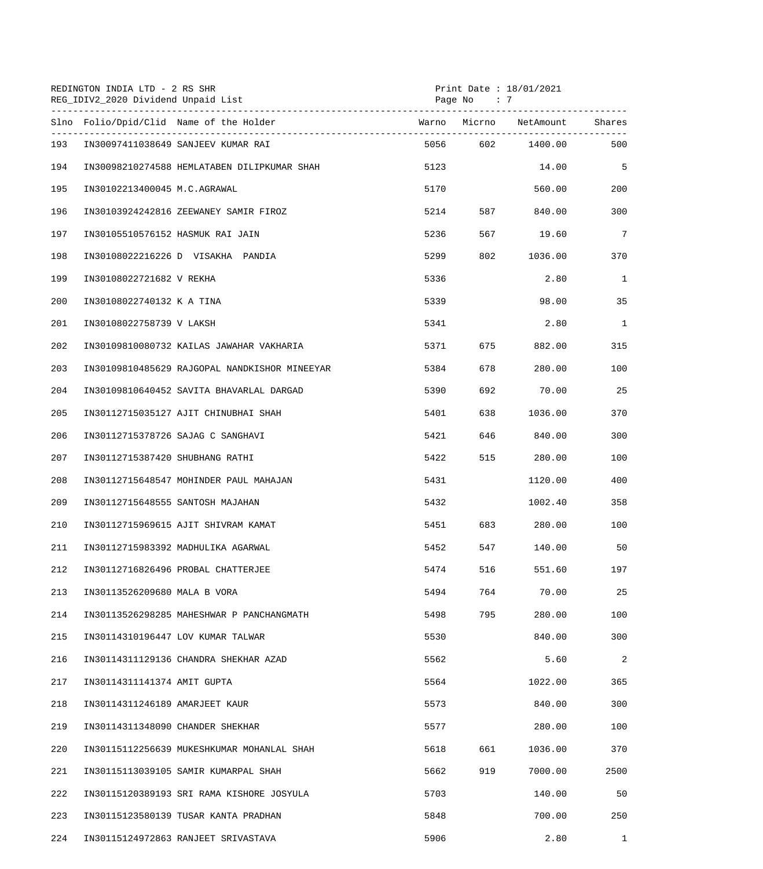|     | REDINGTON INDIA LTD - 2 RS SHR<br>REG_IDIV2_2020 Dividend Unpaid List |                        | Page No<br>$\cdot$ 7 | Print Date : 18/01/2021 |                 |
|-----|-----------------------------------------------------------------------|------------------------|----------------------|-------------------------|-----------------|
|     | Slno Folio/Dpid/Clid Name of the Holder                               | Warno Micrno NetAmount |                      |                         | Shares          |
| 193 | IN30097411038649 SANJEEV KUMAR RAI                                    |                        |                      | 5056 602 1400.00        | 500             |
| 194 | IN30098210274588 HEMLATABEN DILIPKUMAR SHAH                           | 5123                   |                      | 14.00                   | 5               |
| 195 | IN30102213400045 M.C.AGRAWAL                                          | 5170                   |                      | 560.00                  | 200             |
| 196 | IN30103924242816 ZEEWANEY SAMIR FIROZ                                 | 5214                   | 587 — 10             | 840.00                  | 300             |
| 197 | IN30105510576152 HASMUK RAI JAIN                                      | 5236                   |                      | 567 19.60               | $7\phantom{.0}$ |
| 198 | IN30108022216226 D VISAKHA PANDIA                                     | 5299                   | 802                  | 1036.00                 | 370             |
| 199 | IN30108022721682 V REKHA                                              | 5336                   |                      | 2.80                    | 1               |
| 200 | IN30108022740132 K A TINA                                             | 5339                   |                      | 98.00                   | 35              |
| 201 | IN30108022758739 V LAKSH                                              | 5341                   |                      | 2.80                    | $\mathbf{1}$    |
| 202 | IN30109810080732 KAILAS JAWAHAR VAKHARIA                              | 5371                   | 675 — 10             | 882.00                  | 315             |
| 203 | IN30109810485629 RAJGOPAL NANDKISHOR MINEEYAR                         | 5384                   | 678 — 10             | 280.00                  | 100             |
| 204 | IN30109810640452 SAVITA BHAVARLAL DARGAD                              | 5390                   | 692                  | 70.00                   | 25              |
| 205 | IN30112715035127 AJIT CHINUBHAI SHAH                                  | 5401                   | 638                  | 1036.00                 | 370             |
| 206 | IN30112715378726 SAJAG C SANGHAVI                                     | 5421                   | 646 64               | 840.00                  | 300             |
| 207 | IN30112715387420 SHUBHANG RATHI                                       | 5422                   | 515                  | 280.00                  | 100             |
| 208 | IN30112715648547 MOHINDER PAUL MAHAJAN                                | 5431                   |                      | 1120.00                 | 400             |
| 209 | IN30112715648555 SANTOSH MAJAHAN                                      | 5432                   |                      | 1002.40                 | 358             |
| 210 | IN30112715969615 AJIT SHIVRAM KAMAT                                   | 5451                   | 683 — 10             | 280.00                  | 100             |
| 211 | IN30112715983392 MADHULIKA AGARWAL                                    | 5452                   | 547                  | 140.00                  | 50              |
| 212 | IN30112716826496 PROBAL CHATTERJEE                                    | 5474                   | 516                  | 551.60                  | 197             |
| 213 | IN30113526209680 MALA B VORA                                          | 5494                   | 764                  | 70.00                   | 25              |
| 214 | IN30113526298285 MAHESHWAR P PANCHANGMATH                             | 5498                   | 795                  | 280.00                  | 100             |
| 215 | IN30114310196447 LOV KUMAR TALWAR                                     | 5530                   |                      | 840.00                  | 300             |
| 216 | IN30114311129136 CHANDRA SHEKHAR AZAD                                 | 5562                   |                      | 5.60                    | 2               |
| 217 | IN30114311141374 AMIT GUPTA                                           | 5564                   |                      | 1022.00                 | 365             |
| 218 | IN30114311246189 AMARJEET KAUR                                        | 5573                   |                      | 840.00                  | 300             |
| 219 | IN30114311348090 CHANDER SHEKHAR                                      | 5577                   |                      | 280.00                  | 100             |
| 220 | IN30115112256639 MUKESHKUMAR MOHANLAL SHAH                            | 5618                   | 661                  | 1036.00                 | 370             |
| 221 | IN30115113039105 SAMIR KUMARPAL SHAH                                  | 5662                   | 919                  | 7000.00                 | 2500            |
| 222 | IN30115120389193 SRI RAMA KISHORE JOSYULA                             | 5703                   |                      | 140.00                  | 50              |
| 223 | IN30115123580139 TUSAR KANTA PRADHAN                                  | 5848                   |                      | 700.00                  | 250             |
| 224 | IN30115124972863 RANJEET SRIVASTAVA                                   | 5906                   |                      | 2.80                    | $\mathbf{1}$    |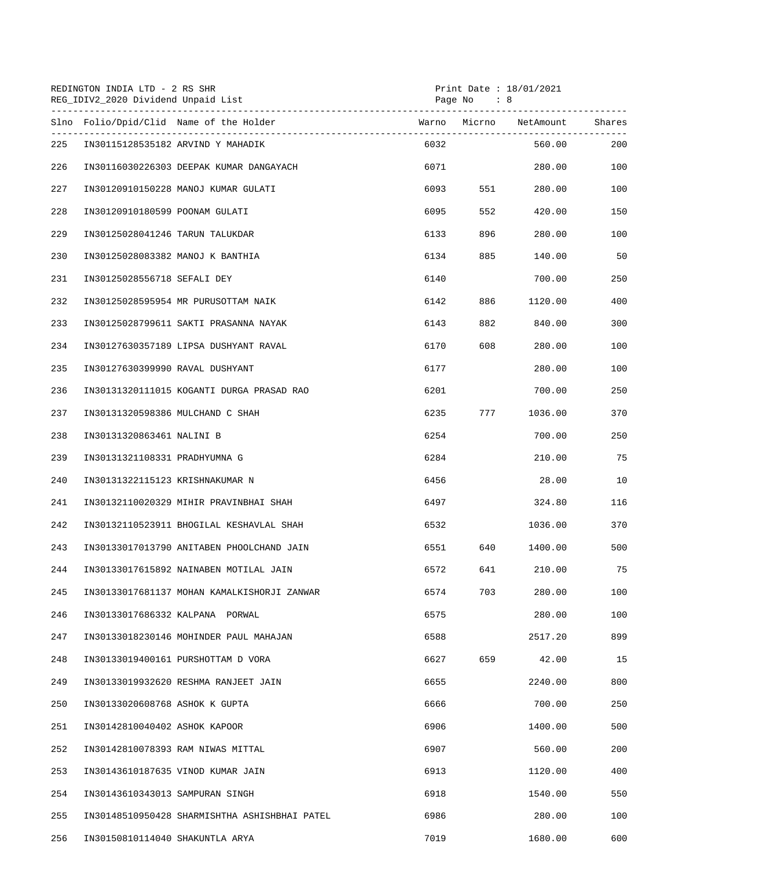|     | REDINGTON INDIA LTD - 2 RS SHR<br>REG_IDIV2_2020 Dividend Unpaid List |                                               |            | Print Date : $18/01/2021$<br>Page No : 8 |                        |     |  |
|-----|-----------------------------------------------------------------------|-----------------------------------------------|------------|------------------------------------------|------------------------|-----|--|
|     |                                                                       | Slno Folio/Dpid/Clid Name of the Holder       |            |                                          | Warno Micrno NetAmount |     |  |
| 225 |                                                                       | IN30115128535182 ARVIND Y MAHADIK             | 6032       |                                          | 560.00                 | 200 |  |
| 226 |                                                                       | IN30116030226303 DEEPAK KUMAR DANGAYACH       | 6071       |                                          | 280.00                 | 100 |  |
| 227 |                                                                       | IN30120910150228 MANOJ KUMAR GULATI           | 6093 — 100 | 551 7                                    | 280.00                 | 100 |  |
| 228 | IN30120910180599 POONAM GULATI                                        |                                               | 6095       | 552                                      | 420.00                 | 150 |  |
| 229 | IN30125028041246 TARUN TALUKDAR                                       |                                               | 6133       | 896                                      | 280.00                 | 100 |  |
| 230 |                                                                       | IN30125028083382 MANOJ K BANTHIA              | 6134       | 885                                      | 140.00                 | 50  |  |
| 231 | IN30125028556718 SEFALI DEY                                           |                                               | 6140       |                                          | 700.00                 | 250 |  |
| 232 |                                                                       | IN30125028595954 MR PURUSOTTAM NAIK           | 6142       | 886 1                                    | 1120.00                | 400 |  |
| 233 |                                                                       | IN30125028799611 SAKTI PRASANNA NAYAK         | 6143       |                                          | 840.00                 | 300 |  |
| 234 |                                                                       | IN30127630357189 LIPSA DUSHYANT RAVAL         | 6170       | 608                                      | 280.00                 | 100 |  |
| 235 | IN30127630399990 RAVAL DUSHYANT                                       |                                               | 6177       |                                          | 280.00                 | 100 |  |
| 236 |                                                                       | IN30131320111015 KOGANTI DURGA PRASAD RAO     | 6201       |                                          | 700.00                 | 250 |  |
| 237 | IN30131320598386 MULCHAND C SHAH                                      |                                               | 6235       | 777                                      | 1036.00                | 370 |  |
| 238 | IN30131320863461 NALINI B                                             |                                               | 6254       |                                          | 700.00                 | 250 |  |
| 239 | IN30131321108331 PRADHYUMNA G                                         |                                               | 6284       |                                          | 210.00                 | 75  |  |
| 240 | IN30131322115123 KRISHNAKUMAR N                                       |                                               | 6456       |                                          | 28.00                  | 10  |  |
| 241 |                                                                       | IN30132110020329 MIHIR PRAVINBHAI SHAH        | 6497       |                                          | 324.80                 | 116 |  |
| 242 |                                                                       | IN30132110523911 BHOGILAL KESHAVLAL SHAH      | 6532       |                                          | 1036.00                | 370 |  |
| 243 |                                                                       | IN30133017013790 ANITABEN PHOOLCHAND JAIN     | 6551       | 640                                      | 1400.00                | 500 |  |
| 244 |                                                                       | IN30133017615892 NAINABEN MOTILAL JAIN        | 6572       | 641                                      | 210.00                 | 75  |  |
| 245 |                                                                       | IN30133017681137 MOHAN KAMALKISHORJI ZANWAR   | 6574       | 703                                      | 280.00                 | 100 |  |
| 246 |                                                                       | IN30133017686332 KALPANA PORWAL               | 6575       |                                          | 280.00                 | 100 |  |
| 247 |                                                                       | IN30133018230146 MOHINDER PAUL MAHAJAN        | 6588       |                                          | 2517.20                | 899 |  |
| 248 |                                                                       | IN30133019400161 PURSHOTTAM D VORA            | 6627       | 659                                      | 42.00                  | 15  |  |
| 249 |                                                                       | IN30133019932620 RESHMA RANJEET JAIN          | 6655       |                                          | 2240.00                | 800 |  |
| 250 | IN30133020608768 ASHOK K GUPTA                                        |                                               | 6666       |                                          | 700.00                 | 250 |  |
| 251 | IN30142810040402 ASHOK KAPOOR                                         |                                               | 6906       |                                          | 1400.00                | 500 |  |
| 252 |                                                                       | IN30142810078393 RAM NIWAS MITTAL             | 6907       |                                          | 560.00                 | 200 |  |
| 253 |                                                                       | IN30143610187635 VINOD KUMAR JAIN             | 6913       |                                          | 1120.00                | 400 |  |
| 254 | IN30143610343013 SAMPURAN SINGH                                       |                                               | 6918       |                                          | 1540.00                | 550 |  |
| 255 |                                                                       | IN30148510950428 SHARMISHTHA ASHISHBHAI PATEL | 6986       |                                          | 280.00                 | 100 |  |
| 256 | IN30150810114040 SHAKUNTLA ARYA                                       |                                               | 7019       |                                          | 1680.00                | 600 |  |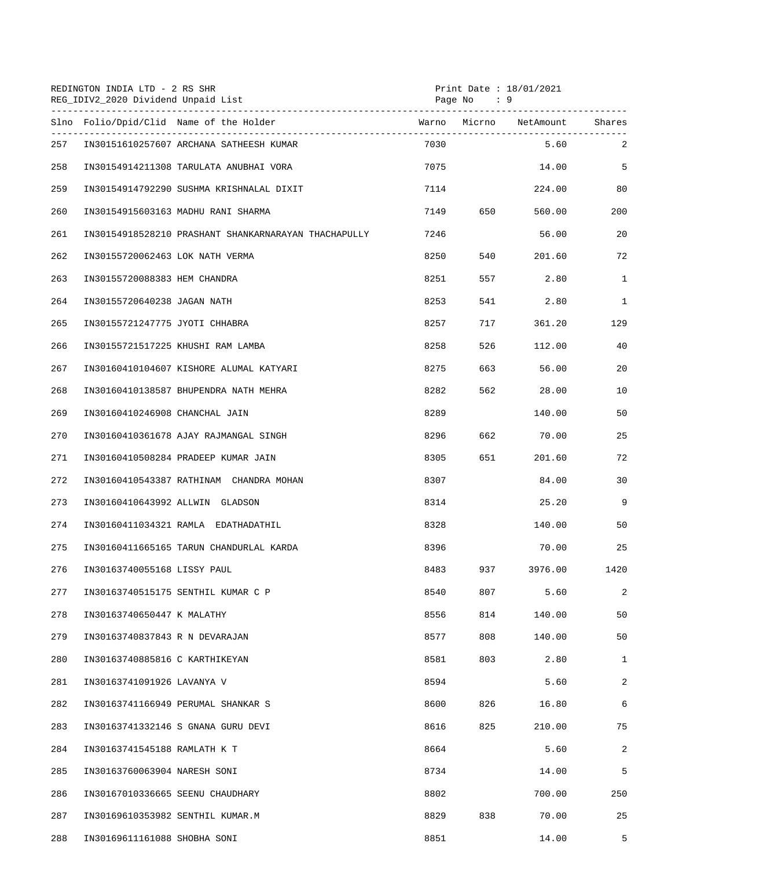|     | REDINGTON INDIA LTD - 2 RS SHR<br>REG_IDIV2_2020 Dividend Unpaid List<br>----------------------------- |      | Page No : 9 | Print Date : 18/01/2021 |                |
|-----|--------------------------------------------------------------------------------------------------------|------|-------------|-------------------------|----------------|
|     | Slno Folio/Dpid/Clid Name of the Holder                                                                |      |             |                         | Shares         |
| 257 | IN30151610257607 ARCHANA SATHEESH KUMAR                                                                | 7030 |             | 5.60                    | 2              |
| 258 | IN30154914211308 TARULATA ANUBHAI VORA                                                                 | 7075 |             | 14.00                   | 5              |
| 259 | IN30154914792290 SUSHMA KRISHNALAL DIXIT                                                               | 7114 |             | 224.00                  | 80             |
| 260 | IN30154915603163 MADHU RANI SHARMA                                                                     | 7149 | 650 11      | 560.00                  | 200            |
| 261 | IN30154918528210 PRASHANT SHANKARNARAYAN THACHAPULLY                                                   | 7246 |             | 56.00                   | 20             |
| 262 | IN30155720062463 LOK NATH VERMA                                                                        | 8250 | 540         | 201.60                  | 72             |
| 263 | IN30155720088383 HEM CHANDRA                                                                           | 8251 | 557         | 2.80                    | $\mathbf{1}$   |
| 264 | IN30155720640238 JAGAN NATH                                                                            | 8253 | 541         | 2.80                    | $\mathbf{1}$   |
| 265 | IN30155721247775 JYOTI CHHABRA                                                                         | 8257 | 717         | 361.20                  | 129            |
| 266 | IN30155721517225 KHUSHI RAM LAMBA                                                                      | 8258 | 526         | 112.00                  | 40             |
| 267 | IN30160410104607 KISHORE ALUMAL KATYARI                                                                | 8275 | 663         | 56.00                   | 20             |
| 268 | IN30160410138587 BHUPENDRA NATH MEHRA                                                                  | 8282 | 562         | 28.00                   | 10             |
| 269 | IN30160410246908 CHANCHAL JAIN                                                                         | 8289 |             | 140.00                  | 50             |
| 270 | IN30160410361678 AJAY RAJMANGAL SINGH                                                                  | 8296 | 662         | 70.00                   | 25             |
| 271 | IN30160410508284 PRADEEP KUMAR JAIN                                                                    | 8305 | 651 7       | 201.60                  | 72             |
| 272 | IN30160410543387 RATHINAM CHANDRA MOHAN                                                                | 8307 |             | 84.00                   | 30             |
| 273 | IN30160410643992 ALLWIN GLADSON                                                                        | 8314 |             | 25.20                   | 9              |
| 274 | IN30160411034321 RAMLA EDATHADATHIL                                                                    | 8328 |             | 140.00                  | 50             |
| 275 | IN30160411665165 TARUN CHANDURLAL KARDA                                                                | 8396 |             | 70.00                   | 25             |
| 276 | IN30163740055168 LISSY PAUL                                                                            | 8483 | 937         | 3976.00                 | 1420           |
| 277 | IN30163740515175 SENTHIL KUMAR C P                                                                     | 8540 | 807         | 5.60                    | 2              |
| 278 | IN30163740650447 K MALATHY                                                                             | 8556 | 814         | 140.00                  | 50             |
| 279 | IN30163740837843 R N DEVARAJAN                                                                         | 8577 | 808         | 140.00                  | 50             |
| 280 | IN30163740885816 C KARTHIKEYAN                                                                         | 8581 | 803         | 2.80                    | $\mathbf{1}$   |
| 281 | IN30163741091926 LAVANYA V                                                                             | 8594 |             | 5.60                    | $\overline{a}$ |
| 282 | IN30163741166949 PERUMAL SHANKAR S                                                                     | 8600 | 826         | 16.80                   | 6              |
| 283 | IN30163741332146 S GNANA GURU DEVI                                                                     | 8616 | 825         | 210.00                  | 75             |
| 284 | IN30163741545188 RAMLATH K T                                                                           | 8664 |             | 5.60                    | 2              |
| 285 | IN30163760063904 NARESH SONI                                                                           | 8734 |             | 14.00                   | 5              |
| 286 | IN30167010336665 SEENU CHAUDHARY                                                                       | 8802 |             | 700.00                  | 250            |
| 287 | IN30169610353982 SENTHIL KUMAR.M                                                                       | 8829 | 838         | 70.00                   | 25             |
| 288 | IN30169611161088 SHOBHA SONI                                                                           | 8851 |             | 14.00                   | 5              |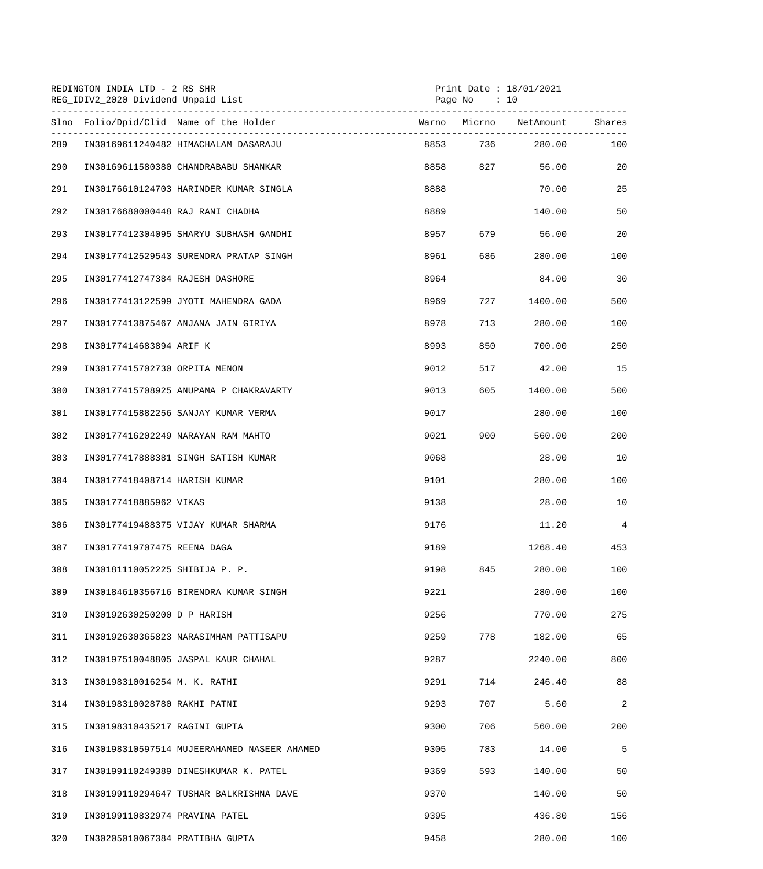|     | REDINGTON INDIA LTD - 2 RS SHR<br>REG_IDIV2_2020 Dividend Unpaid List |                                             |      | Page No : 10 | Print Date: 18/01/2021 |        |
|-----|-----------------------------------------------------------------------|---------------------------------------------|------|--------------|------------------------|--------|
|     |                                                                       | Slno Folio/Dpid/Clid Name of the Holder     |      |              | Warno Micrno NetAmount | Shares |
| 289 |                                                                       | IN30169611240482 HIMACHALAM DASARAJU        |      |              | 8853 736 280.00        | 100    |
| 290 |                                                                       | IN30169611580380 CHANDRABABU SHANKAR        |      | 8858 827     | 56.00                  | 20     |
| 291 |                                                                       | IN30176610124703 HARINDER KUMAR SINGLA      | 8888 |              | 70.00                  | 25     |
| 292 | IN30176680000448 RAJ RANI CHADHA                                      |                                             | 8889 |              | 140.00                 | 50     |
| 293 |                                                                       | IN30177412304095 SHARYU SUBHASH GANDHI      | 8957 | 679          | 56.00                  | 20     |
| 294 |                                                                       | IN30177412529543 SURENDRA PRATAP SINGH      | 8961 | 686          | 280.00                 | 100    |
| 295 | IN30177412747384 RAJESH DASHORE                                       |                                             | 8964 |              | 84.00                  | 30     |
| 296 |                                                                       | IN30177413122599 JYOTI MAHENDRA GADA        | 8969 | 727          | 1400.00                | 500    |
| 297 |                                                                       | IN30177413875467 ANJANA JAIN GIRIYA         | 8978 | 713          | 280.00                 | 100    |
| 298 | IN30177414683894 ARIF K                                               |                                             | 8993 | 850          | 700.00                 | 250    |
| 299 | IN30177415702730 ORPITA MENON                                         |                                             | 9012 | 517          | 42.00                  | 15     |
| 300 |                                                                       | IN30177415708925 ANUPAMA P CHAKRAVARTY      | 9013 | 605          | 1400.00                | 500    |
| 301 |                                                                       | IN30177415882256 SANJAY KUMAR VERMA         | 9017 |              | 280.00                 | 100    |
| 302 |                                                                       | IN30177416202249 NARAYAN RAM MAHTO          | 9021 | 900 000      | 560.00                 | 200    |
| 303 |                                                                       | IN30177417888381 SINGH SATISH KUMAR         | 9068 |              | 28.00                  | 10     |
| 304 | IN30177418408714 HARISH KUMAR                                         |                                             | 9101 |              | 280.00                 | 100    |
| 305 | IN30177418885962 VIKAS                                                |                                             | 9138 |              | 28.00                  | 10     |
| 306 |                                                                       | IN30177419488375 VIJAY KUMAR SHARMA         | 9176 |              | 11.20                  | 4      |
| 307 | IN30177419707475 REENA DAGA                                           |                                             | 9189 |              | 1268.40                | 453    |
| 308 | IN30181110052225 SHIBIJA P. P.                                        |                                             | 9198 | 845          | 280.00                 | 100    |
| 309 |                                                                       | IN30184610356716 BIRENDRA KUMAR SINGH       | 9221 |              | 280.00                 | 100    |
| 310 | IN30192630250200 D P HARISH                                           |                                             | 9256 |              | 770.00                 | 275    |
| 311 |                                                                       | IN30192630365823 NARASIMHAM PATTISAPU       | 9259 | 778          | 182.00                 | 65     |
| 312 |                                                                       | IN30197510048805 JASPAL KAUR CHAHAL         | 9287 |              | 2240.00                | 800    |
| 313 | IN30198310016254 M. K. RATHI                                          |                                             | 9291 | 714          | 246.40                 | 88     |
| 314 | IN30198310028780 RAKHI PATNI                                          |                                             | 9293 | 707          | 5.60                   | 2      |
| 315 | IN30198310435217 RAGINI GUPTA                                         |                                             | 9300 | 706          | 560.00                 | 200    |
| 316 |                                                                       | IN30198310597514 MUJEERAHAMED NASEER AHAMED | 9305 | 783          | 14.00                  | 5      |
| 317 |                                                                       | IN30199110249389 DINESHKUMAR K. PATEL       | 9369 | 593          | 140.00                 | 50     |
| 318 |                                                                       | IN30199110294647 TUSHAR BALKRISHNA DAVE     | 9370 |              | 140.00                 | 50     |
| 319 | IN30199110832974 PRAVINA PATEL                                        |                                             | 9395 |              | 436.80                 | 156    |
| 320 | IN30205010067384 PRATIBHA GUPTA                                       |                                             | 9458 |              | 280.00                 | 100    |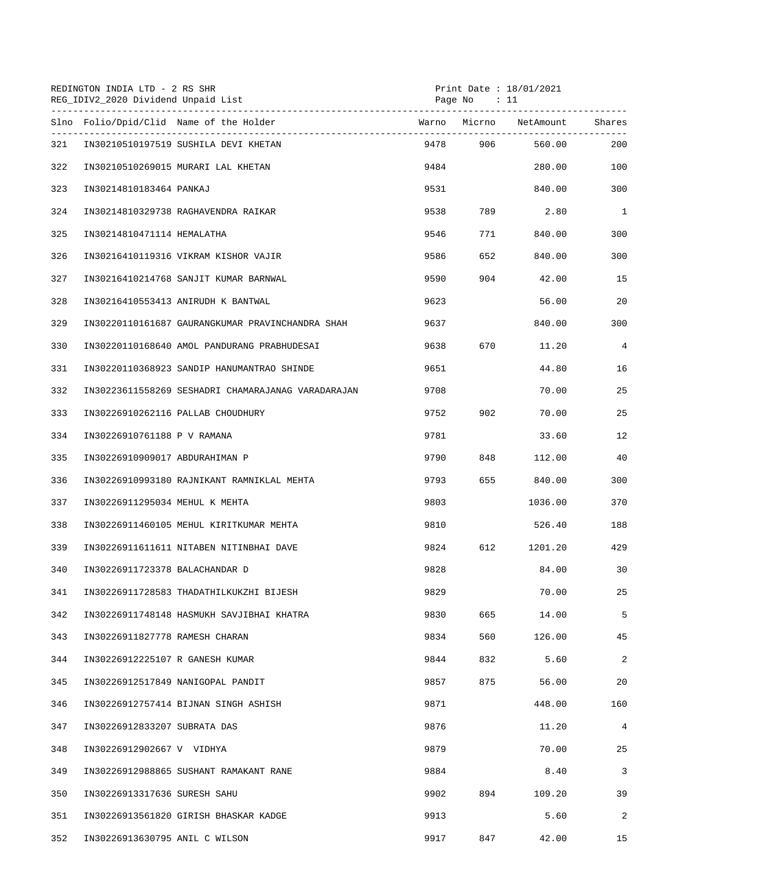|     | REDINGTON INDIA LTD - 2 RS SHR<br>REG_IDIV2_2020 Dividend Unpaid List<br>Page No : 11 |      |         | Print Date: 18/01/2021 |                |  |
|-----|---------------------------------------------------------------------------------------|------|---------|------------------------|----------------|--|
|     | Slno Folio/Dpid/Clid Name of the Holder                                               |      |         | Warno Micrno NetAmount | Shares         |  |
| 321 | IN30210510197519 SUSHILA DEVI KHETAN                                                  |      |         | 9478 906 560.00        | 200            |  |
| 322 | IN30210510269015 MURARI LAL KHETAN                                                    | 9484 |         | 280.00                 | 100            |  |
| 323 | IN30214810183464 PANKAJ                                                               | 9531 |         | 840.00                 | 300            |  |
| 324 | IN30214810329738 RAGHAVENDRA RAIKAR                                                   | 9538 |         | 789 2.80               | $\mathbf{1}$   |  |
| 325 | IN30214810471114 HEMALATHA                                                            | 9546 | 771     | 840.00                 | 300            |  |
| 326 | IN30216410119316 VIKRAM KISHOR VAJIR                                                  | 9586 | 652     | 840.00                 | 300            |  |
| 327 | IN30216410214768 SANJIT KUMAR BARNWAL                                                 | 9590 | 904     | 42.00                  | 15             |  |
| 328 | IN30216410553413 ANIRUDH K BANTWAL                                                    | 9623 |         | 56.00                  | 20             |  |
| 329 | IN30220110161687 GAURANGKUMAR PRAVINCHANDRA SHAH                                      | 9637 |         | 840.00                 | 300            |  |
| 330 | IN30220110168640 AMOL PANDURANG PRABHUDESAI                                           | 9638 |         | 670 11.20              | $\overline{4}$ |  |
| 331 | IN30220110368923 SANDIP HANUMANTRAO SHINDE                                            | 9651 |         | 44.80                  | 16             |  |
| 332 | IN30223611558269 SESHADRI CHAMARAJANAG VARADARAJAN                                    | 9708 |         | 70.00                  | 25             |  |
| 333 | IN30226910262116 PALLAB CHOUDHURY                                                     | 9752 | 902 200 | 70.00                  | 25             |  |
| 334 | IN30226910761188 P V RAMANA                                                           | 9781 |         | 33.60                  | 12             |  |
| 335 | IN30226910909017 ABDURAHIMAN P                                                        | 9790 | 848     | 112.00                 | 40             |  |
| 336 | IN30226910993180 RAJNIKANT RAMNIKLAL MEHTA                                            | 9793 |         | 655 840.00             | 300            |  |
| 337 | IN30226911295034 MEHUL K MEHTA                                                        | 9803 |         | 1036.00                | 370            |  |
| 338 | IN30226911460105 MEHUL KIRITKUMAR MEHTA                                               | 9810 |         | 526.40                 | 188            |  |
| 339 | IN30226911611611 NITABEN NITINBHAI DAVE                                               | 9824 | 612     | 1201.20                | 429            |  |
| 340 | IN30226911723378 BALACHANDAR D                                                        | 9828 |         | 84.00                  | 30             |  |
| 341 | IN30226911728583 THADATHILKUKZHI BIJESH                                               | 9829 |         | 70.00                  | 25             |  |
| 342 | IN30226911748148 HASMUKH SAVJIBHAI KHATRA                                             | 9830 | 665     | 14.00                  | 5              |  |
| 343 | IN30226911827778 RAMESH CHARAN                                                        | 9834 | 560     | 126.00                 | 45             |  |
| 344 | IN30226912225107 R GANESH KUMAR                                                       | 9844 | 832     | 5.60                   | 2              |  |
| 345 | IN30226912517849 NANIGOPAL PANDIT                                                     | 9857 | 875     | 56.00                  | 20             |  |
| 346 | IN30226912757414 BIJNAN SINGH ASHISH                                                  | 9871 |         | 448.00                 | 160            |  |
| 347 | IN30226912833207 SUBRATA DAS                                                          | 9876 |         | 11.20                  | 4              |  |
| 348 | IN30226912902667 V VIDHYA                                                             | 9879 |         | 70.00                  | 25             |  |
| 349 | IN30226912988865 SUSHANT RAMAKANT RANE                                                | 9884 |         | 8.40                   | 3              |  |
| 350 | IN30226913317636 SURESH SAHU                                                          | 9902 | 894     | 109.20                 | 39             |  |
| 351 | IN30226913561820 GIRISH BHASKAR KADGE                                                 | 9913 |         | 5.60                   | 2              |  |
| 352 | IN30226913630795 ANIL C WILSON                                                        | 9917 | 847     | 42.00                  | 15             |  |
|     |                                                                                       |      |         |                        |                |  |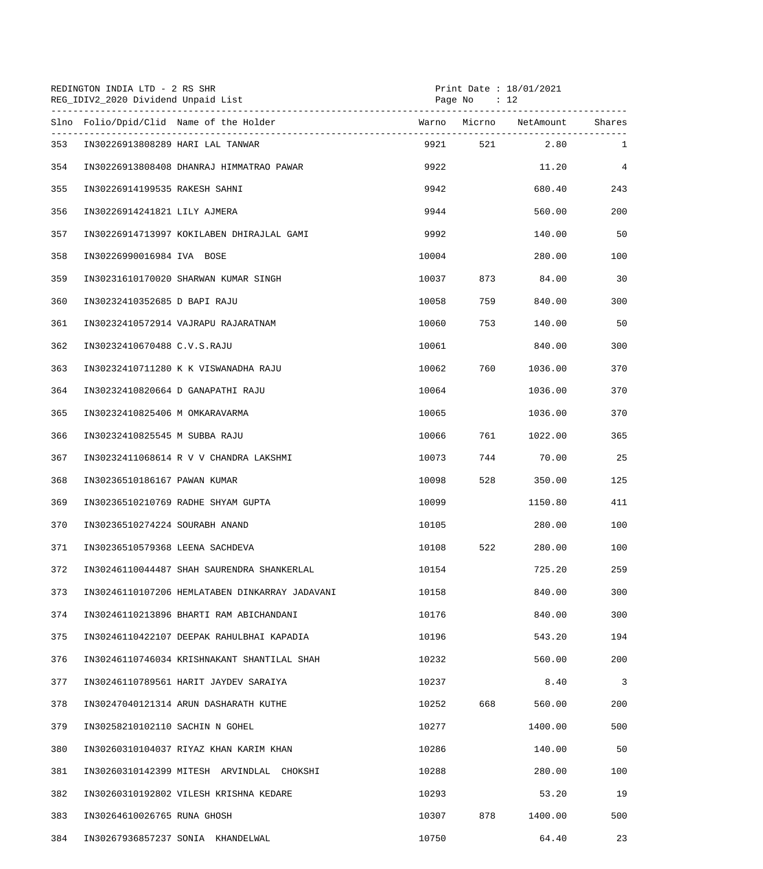|     | REDINGTON INDIA LTD - 2 RS SHR<br>REG_IDIV2_2020 Dividend Unpaid List |       | Page No $: 12$ | Print Date : 18/01/2021 |                |
|-----|-----------------------------------------------------------------------|-------|----------------|-------------------------|----------------|
|     | Slno Folio/Dpid/Clid Name of the Holder                               |       |                |                         |                |
| 353 | IN30226913808289 HARI LAL TANWAR                                      |       |                | 9921 521 2.80           | $\mathbf{1}$   |
| 354 | IN30226913808408 DHANRAJ HIMMATRAO PAWAR                              | 9922  |                | 11.20                   | $\overline{4}$ |
| 355 | IN30226914199535 RAKESH SAHNI                                         | 9942  |                | 680.40                  | 243            |
| 356 | IN30226914241821 LILY AJMERA                                          | 9944  |                | 560.00                  | 200            |
| 357 | IN30226914713997 KOKILABEN DHIRAJLAL GAMI                             | 9992  |                | 140.00                  | 50             |
| 358 | IN30226990016984 IVA BOSE                                             | 10004 |                | 280.00                  | 100            |
| 359 | IN30231610170020 SHARWAN KUMAR SINGH                                  | 10037 | 873            | 84.00                   | 30             |
| 360 | IN30232410352685 D BAPI RAJU                                          | 10058 | 759            | 840.00                  | 300            |
| 361 | IN30232410572914 VAJRAPU RAJARATNAM                                   | 10060 | 753 — 17       | 140.00                  | 50             |
| 362 | IN30232410670488 C.V.S.RAJU                                           | 10061 |                | 840.00                  | 300            |
| 363 | IN30232410711280 K K VISWANADHA RAJU                                  | 10062 | 760 — 17       | 1036.00                 | 370            |
| 364 | IN30232410820664 D GANAPATHI RAJU                                     | 10064 |                | 1036.00                 | 370            |
| 365 | IN30232410825406 M OMKARAVARMA                                        | 10065 |                | 1036.00                 | 370            |
| 366 | IN30232410825545 M SUBBA RAJU                                         | 10066 | 761 — 1        | 1022.00                 | 365            |
| 367 | IN30232411068614 R V V CHANDRA LAKSHMI                                | 10073 |                | 744 70.00               | 25             |
| 368 | IN30236510186167 PAWAN KUMAR                                          | 10098 | 528            | 350.00                  | 125            |
| 369 | IN30236510210769 RADHE SHYAM GUPTA                                    | 10099 |                | 1150.80                 | 411            |
| 370 | IN30236510274224 SOURABH ANAND                                        | 10105 |                | 280.00                  | 100            |
| 371 | IN30236510579368 LEENA SACHDEVA                                       | 10108 | 522            | 280.00                  | 100            |
| 372 | IN30246110044487 SHAH SAURENDRA SHANKERLAL                            | 10154 |                | 725.20                  | 259            |
| 373 | IN30246110107206 HEMLATABEN DINKARRAY JADAVANI                        | 10158 |                | 840.00                  | 300            |
| 374 | IN30246110213896 BHARTI RAM ABICHANDANI                               | 10176 |                | 840.00                  | 300            |
| 375 | IN30246110422107 DEEPAK RAHULBHAI KAPADIA                             | 10196 |                | 543.20                  | 194            |
| 376 | IN30246110746034 KRISHNAKANT SHANTILAL SHAH                           | 10232 |                | 560.00                  | 200            |
| 377 | IN30246110789561 HARIT JAYDEV SARAIYA                                 | 10237 |                | 8.40                    | $\overline{3}$ |
| 378 | IN30247040121314 ARUN DASHARATH KUTHE                                 | 10252 | 668            | 560.00                  | 200            |
| 379 | IN30258210102110 SACHIN N GOHEL                                       | 10277 |                | 1400.00                 | 500            |
| 380 | IN30260310104037 RIYAZ KHAN KARIM KHAN                                | 10286 |                | 140.00                  | 50             |
| 381 | IN30260310142399 MITESH ARVINDLAL CHOKSHI                             | 10288 |                | 280.00                  | 100            |
| 382 | IN30260310192802 VILESH KRISHNA KEDARE                                | 10293 |                | 53.20                   | 19             |
| 383 | IN30264610026765 RUNA GHOSH                                           | 10307 | 878            | 1400.00                 | 500            |
| 384 | IN30267936857237 SONIA KHANDELWAL                                     | 10750 |                | 64.40                   | 23             |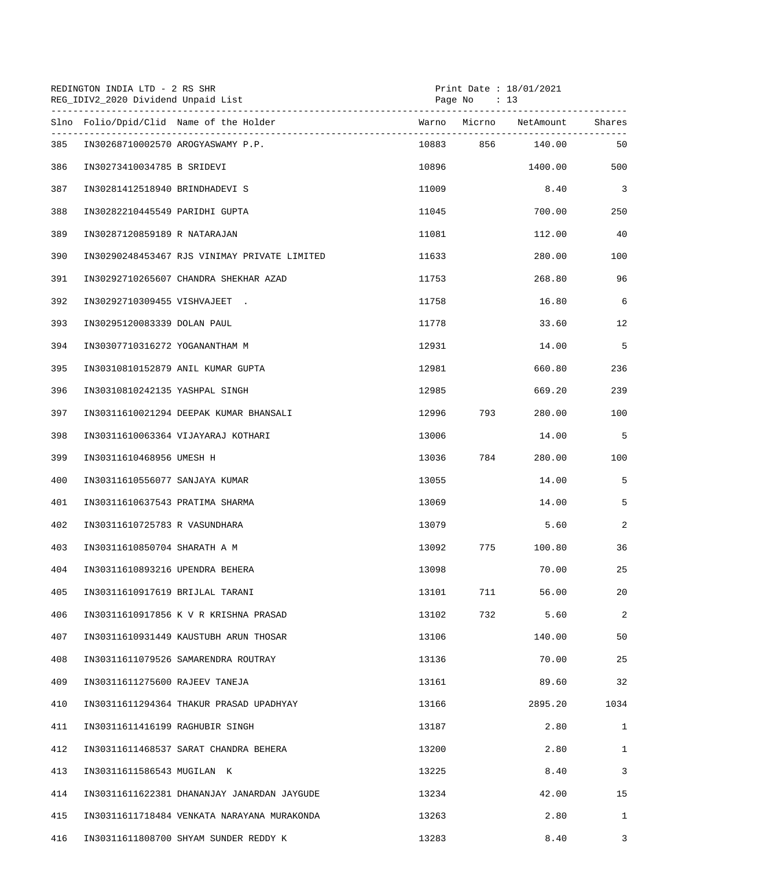| REDINGTON INDIA LTD - 2 RS SHR<br>REG_IDIV2_2020 Dividend Unpaid List |                                 |                                              | Print Date: 18/01/2021<br>Page No $: 13$ |           |                  |                          |
|-----------------------------------------------------------------------|---------------------------------|----------------------------------------------|------------------------------------------|-----------|------------------|--------------------------|
|                                                                       |                                 | Slno Folio/Dpid/Clid Name of the Holder      |                                          |           |                  | Shares                   |
| 385                                                                   |                                 | IN30268710002570 AROGYASWAMY P.P.            |                                          |           | 10883 856 140.00 | 50                       |
| 386                                                                   | IN30273410034785 B SRIDEVI      |                                              | 10896                                    |           | 1400.00          | 500                      |
| 387                                                                   | IN30281412518940 BRINDHADEVI S  |                                              | 11009                                    |           | 8.40             | $\overline{\phantom{a}}$ |
| 388                                                                   | IN30282210445549 PARIDHI GUPTA  |                                              | 11045                                    |           | 700.00           | 250                      |
| 389                                                                   | IN30287120859189 R NATARAJAN    |                                              | 11081                                    |           | 112.00           | 40                       |
| 390                                                                   |                                 | IN30290248453467 RJS VINIMAY PRIVATE LIMITED | 11633                                    |           | 280.00           | 100                      |
| 391                                                                   |                                 | IN30292710265607 CHANDRA SHEKHAR AZAD        | 11753                                    |           | 268.80           | 96                       |
| 392                                                                   | IN30292710309455 VISHVAJEET .   |                                              | 11758                                    |           | 16.80            | 6                        |
| 393                                                                   | IN30295120083339 DOLAN PAUL     |                                              | 11778                                    |           | 33.60            | 12                       |
| 394                                                                   | IN30307710316272 YOGANANTHAM M  |                                              | 12931                                    |           | 14.00            | 5                        |
| 395                                                                   |                                 | IN30310810152879 ANIL KUMAR GUPTA            | 12981                                    |           | 660.80           | 236                      |
| 396                                                                   | IN30310810242135 YASHPAL SINGH  |                                              | 12985                                    |           | 669.20           | 239                      |
| 397                                                                   |                                 | IN30311610021294 DEEPAK KUMAR BHANSALI       | 12996                                    | 793       | 280.00           | 100                      |
| 398                                                                   |                                 | IN30311610063364 VIJAYARAJ KOTHARI           | 13006                                    |           | 14.00            | 5                        |
| 399                                                                   | IN30311610468956 UMESH H        |                                              |                                          | 13036 784 | 280.00           | 100                      |
| 400                                                                   | IN30311610556077 SANJAYA KUMAR  |                                              | 13055                                    |           | 14.00            | 5                        |
| 401                                                                   | IN30311610637543 PRATIMA SHARMA |                                              | 13069                                    |           | 14.00            | 5                        |
| 402                                                                   | IN30311610725783 R VASUNDHARA   |                                              | 13079                                    |           | 5.60             | 2                        |
| 403                                                                   | IN30311610850704 SHARATH A M    |                                              | 13092                                    | 775       | 100.80           | 36                       |
| 404                                                                   | IN30311610893216 UPENDRA BEHERA |                                              | 13098                                    |           | 70.00            | 25                       |
| 405                                                                   | IN30311610917619 BRIJLAL TARANI |                                              | 13101                                    | 711       | 56.00            | 20                       |
| 406                                                                   |                                 | IN30311610917856 K V R KRISHNA PRASAD        | 13102                                    | 732       | 5.60             | 2                        |
| 407                                                                   |                                 | IN30311610931449 KAUSTUBH ARUN THOSAR        | 13106                                    |           | 140.00           | 50                       |
| 408                                                                   |                                 | IN30311611079526 SAMARENDRA ROUTRAY          | 13136                                    |           | 70.00            | 25                       |
| 409                                                                   | IN30311611275600 RAJEEV TANEJA  |                                              | 13161                                    |           | 89.60            | 32                       |
| 410                                                                   |                                 | IN30311611294364 THAKUR PRASAD UPADHYAY      | 13166                                    |           | 2895.20          | 1034                     |
| 411                                                                   | IN30311611416199 RAGHUBIR SINGH |                                              | 13187                                    |           | 2.80             | $\mathbf{1}$             |
| 412                                                                   |                                 | IN30311611468537 SARAT CHANDRA BEHERA        | 13200                                    |           | 2.80             | $\mathbf{1}$             |
| 413                                                                   | IN30311611586543 MUGILAN K      |                                              | 13225                                    |           | 8.40             | 3                        |
| 414                                                                   |                                 | IN30311611622381 DHANANJAY JANARDAN JAYGUDE  | 13234                                    |           | 42.00            | 15                       |
| 415                                                                   |                                 | IN30311611718484 VENKATA NARAYANA MURAKONDA  | 13263                                    |           | 2.80             | $\mathbf{1}$             |
| 416                                                                   |                                 | IN30311611808700 SHYAM SUNDER REDDY K        | 13283                                    |           | 8.40             | 3                        |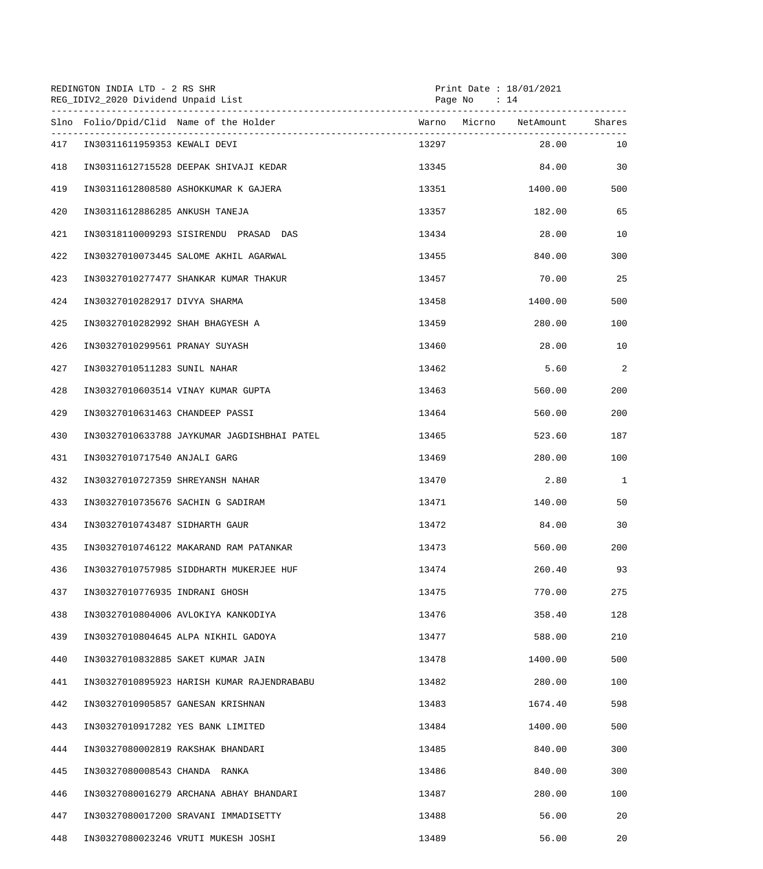|     | REDINGTON INDIA LTD - 2 RS SHR<br>REG_IDIV2_2020 Dividend Unpaid List |       | Print Date : $18/01/2021$<br>Page No : 14 |                |  |  |
|-----|-----------------------------------------------------------------------|-------|-------------------------------------------|----------------|--|--|
|     | Slno Folio/Dpid/Clid Name of the Holder                               |       |                                           |                |  |  |
| 417 | IN30311611959353 KEWALI DEVI                                          | 13297 |                                           | 28.00<br>10    |  |  |
| 418 | IN30311612715528 DEEPAK SHIVAJI KEDAR                                 |       | 13345                                     | 84.00<br>30    |  |  |
| 419 | IN30311612808580 ASHOKKUMAR K GAJERA                                  |       | 1400.00<br>13351 200                      | 500            |  |  |
| 420 | IN30311612886285 ANKUSH TANEJA                                        | 13357 | 182.00                                    | 65             |  |  |
| 421 | IN30318110009293 SISIRENDU PRASAD DAS                                 | 13434 | 28.00                                     | 10             |  |  |
| 422 | IN30327010073445 SALOME AKHIL AGARWAL                                 | 13455 | 840.00                                    | 300            |  |  |
| 423 | IN30327010277477 SHANKAR KUMAR THAKUR                                 | 13457 | 70.00                                     | 25             |  |  |
| 424 | IN30327010282917 DIVYA SHARMA                                         | 13458 | 1400.00                                   | 500            |  |  |
| 425 | IN30327010282992 SHAH BHAGYESH A                                      | 13459 | 280.00                                    | 100            |  |  |
| 426 | IN30327010299561 PRANAY SUYASH                                        | 13460 | 28.00                                     | 10             |  |  |
| 427 | IN30327010511283 SUNIL NAHAR                                          | 13462 | 5.60                                      | $\overline{2}$ |  |  |
| 428 | IN30327010603514 VINAY KUMAR GUPTA                                    | 13463 | 560.00                                    | 200            |  |  |
| 429 | IN30327010631463 CHANDEEP PASSI                                       | 13464 | 560.00                                    | 200            |  |  |
| 430 | IN30327010633788 JAYKUMAR JAGDISHBHAI PATEL                           | 13465 | 523.60                                    | 187            |  |  |
| 431 | IN30327010717540 ANJALI GARG                                          | 13469 | 280.00                                    | 100            |  |  |
| 432 | IN30327010727359 SHREYANSH NAHAR                                      | 13470 | 2.80                                      | $\mathbf{1}$   |  |  |
| 433 | IN30327010735676 SACHIN G SADIRAM                                     | 13471 | 140.00                                    | 50             |  |  |
| 434 | IN30327010743487 SIDHARTH GAUR                                        | 13472 | 84.00                                     | 30             |  |  |
| 435 | IN30327010746122 MAKARAND RAM PATANKAR                                | 13473 | 560.00                                    | 200            |  |  |
| 436 | IN30327010757985 SIDDHARTH MUKERJEE HUF                               | 13474 | 260.40                                    | 93             |  |  |
| 437 | IN30327010776935 INDRANI GHOSH                                        | 13475 | 770.00                                    | 275            |  |  |
| 438 | IN30327010804006 AVLOKIYA KANKODIYA                                   | 13476 | 358.40                                    | 128            |  |  |
| 439 | IN30327010804645 ALPA NIKHIL GADOYA                                   | 13477 | 588.00                                    | 210            |  |  |
| 440 | IN30327010832885 SAKET KUMAR JAIN                                     | 13478 | 1400.00                                   | 500            |  |  |
| 441 | IN30327010895923 HARISH KUMAR RAJENDRABABU                            | 13482 | 280.00                                    | 100            |  |  |
| 442 | IN30327010905857 GANESAN KRISHNAN                                     | 13483 | 1674.40                                   | 598            |  |  |
| 443 | IN30327010917282 YES BANK LIMITED                                     | 13484 | 1400.00                                   | 500            |  |  |
| 444 | IN30327080002819 RAKSHAK BHANDARI                                     | 13485 | 840.00                                    | 300            |  |  |
| 445 | IN30327080008543 CHANDA RANKA                                         | 13486 | 840.00                                    | 300            |  |  |
| 446 | IN30327080016279 ARCHANA ABHAY BHANDARI                               | 13487 | 280.00                                    | 100            |  |  |
| 447 | IN30327080017200 SRAVANI IMMADISETTY                                  | 13488 | 56.00                                     | 20             |  |  |
| 448 | IN30327080023246 VRUTI MUKESH JOSHI                                   | 13489 | 56.00                                     | 20             |  |  |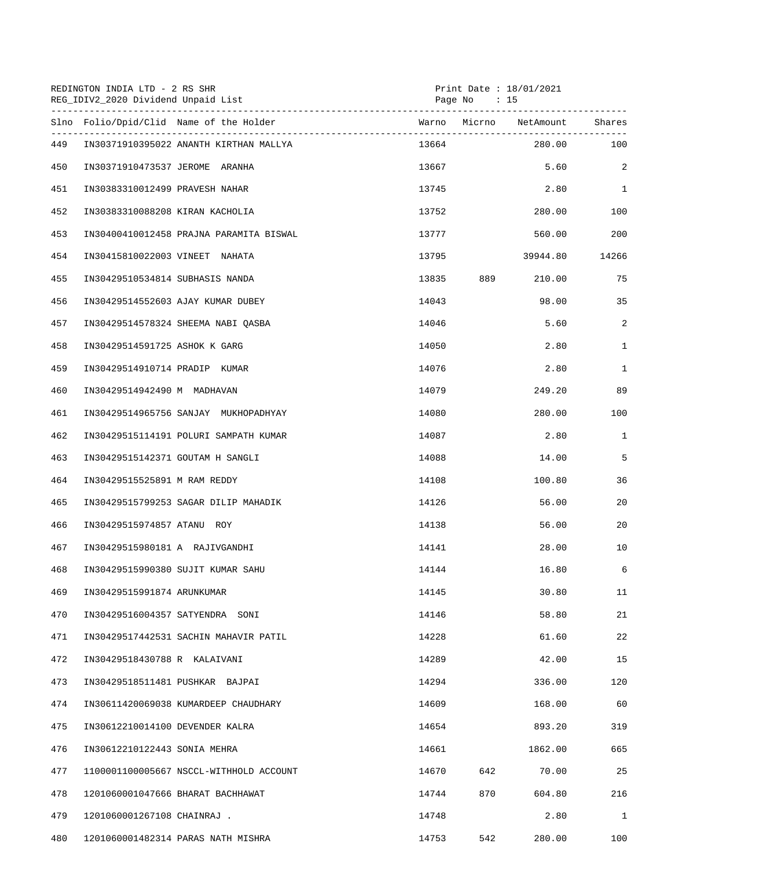| REDINGTON INDIA LTD - 2 RS SHR<br>Print Date: 18/01/2021<br>REG_IDIV2_2020 Dividend Unpaid List<br>Page No : 15 |                                         |       |     |                        |              |
|-----------------------------------------------------------------------------------------------------------------|-----------------------------------------|-------|-----|------------------------|--------------|
|                                                                                                                 | Slno Folio/Dpid/Clid Name of the Holder |       |     | Warno Micrno NetAmount | Shares       |
| 449                                                                                                             | IN30371910395022 ANANTH KIRTHAN MALLYA  | 13664 |     | 280.00                 | 100          |
| 450                                                                                                             | IN30371910473537 JEROME ARANHA          | 13667 |     |                        | 5.60<br>2    |
| 451                                                                                                             | IN30383310012499 PRAVESH NAHAR          | 13745 |     |                        | 2.80 1       |
| 452                                                                                                             | IN30383310088208 KIRAN KACHOLIA         | 13752 |     | 280.00                 | 100          |
| 453                                                                                                             | IN30400410012458 PRAJNA PARAMITA BISWAL | 13777 |     | 560.00                 | 200          |
| 454                                                                                                             | IN30415810022003 VINEET NAHATA          | 13795 |     | 39944.80               | 14266        |
| 455                                                                                                             | IN30429510534814 SUBHASIS NANDA         | 13835 | 889 | 210.00                 | 75           |
| 456                                                                                                             | IN30429514552603 AJAY KUMAR DUBEY       | 14043 |     | 98.00                  | 35           |
| 457                                                                                                             | IN30429514578324 SHEEMA NABI OASBA      | 14046 |     | 5.60                   | 2            |
| 458                                                                                                             | IN30429514591725 ASHOK K GARG           | 14050 |     | 2.80                   | $\mathbf{1}$ |
| 459                                                                                                             | IN30429514910714 PRADIP KUMAR           | 14076 |     | 2.80                   | $\mathbf{1}$ |
| 460                                                                                                             | IN30429514942490 M MADHAVAN             | 14079 |     | 249.20                 | 89           |
| 461                                                                                                             | IN30429514965756 SANJAY MUKHOPADHYAY    | 14080 |     | 280.00                 | 100          |
| 462                                                                                                             | IN30429515114191 POLURI SAMPATH KUMAR   | 14087 |     | 2.80                   | 1            |
| 463                                                                                                             | IN30429515142371 GOUTAM H SANGLI        | 14088 |     | 14.00                  | 5            |
| 464                                                                                                             | IN30429515525891 M RAM REDDY            | 14108 |     | 100.80                 | 36           |
| 465                                                                                                             | IN30429515799253 SAGAR DILIP MAHADIK    | 14126 |     | 56.00                  | 20           |
| 466                                                                                                             | IN30429515974857 ATANU ROY              | 14138 |     | 56.00                  | 20           |
| 467                                                                                                             | IN30429515980181 A RAJIVGANDHI          | 14141 |     | 28.00                  | 10           |
| 468                                                                                                             | IN30429515990380 SUJIT KUMAR SAHU       | 14144 |     | 16.80                  | 6            |
| 469                                                                                                             | IN30429515991874 ARUNKUMAR              | 14145 |     | 30.80                  | 11           |
| 470                                                                                                             | IN30429516004357 SATYENDRA SONI         | 14146 |     | 58.80                  | 21           |
| 471                                                                                                             | IN30429517442531 SACHIN MAHAVIR PATIL   | 14228 |     | 61.60                  | 22           |
| 472                                                                                                             | IN30429518430788 R KALAIVANI            | 14289 |     | 42.00                  | 15           |
| 473                                                                                                             | IN30429518511481 PUSHKAR BAJPAI         | 14294 |     | 336.00                 | 120          |
| 474                                                                                                             | IN30611420069038 KUMARDEEP CHAUDHARY    | 14609 |     | 168.00                 | 60           |
| 475                                                                                                             | IN30612210014100 DEVENDER KALRA         | 14654 |     | 893.20                 | 319          |
| 476                                                                                                             | IN30612210122443 SONIA MEHRA            | 14661 |     | 1862.00                | 665          |
| 477                                                                                                             | 1100001100005667 NSCCL-WITHHOLD ACCOUNT | 14670 | 642 | 70.00                  | 25           |
| 478                                                                                                             | 1201060001047666 BHARAT BACHHAWAT       | 14744 | 870 | 604.80                 | 216          |
| 479                                                                                                             | 1201060001267108 CHAINRAJ .             | 14748 |     | 2.80                   | $\mathbf{1}$ |
| 480                                                                                                             | 1201060001482314 PARAS NATH MISHRA      | 14753 | 542 | 280.00                 | 100          |
|                                                                                                                 |                                         |       |     |                        |              |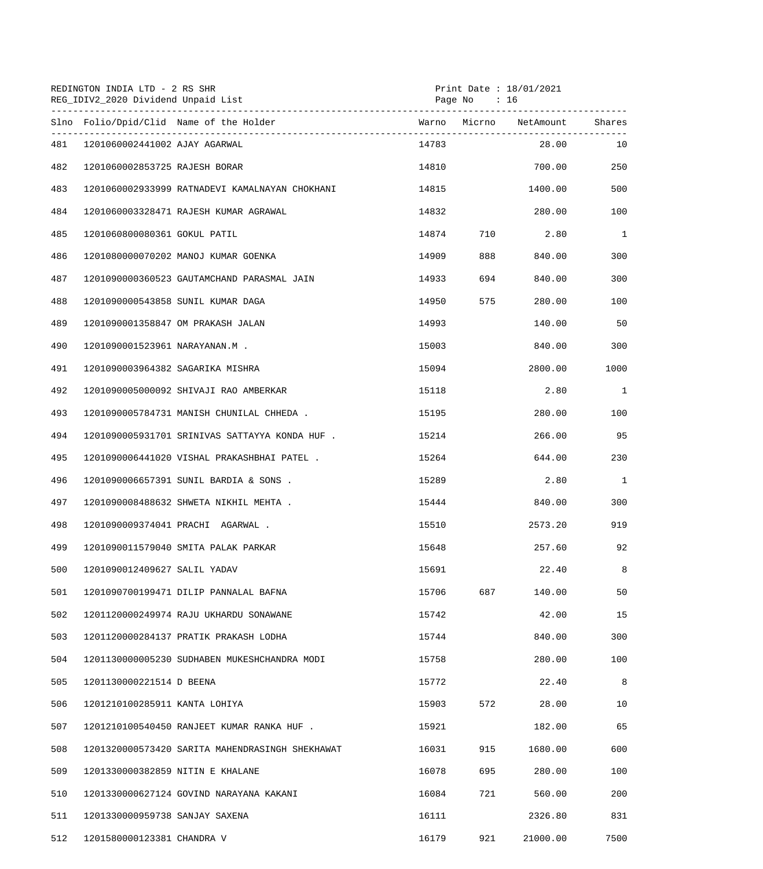|     | REDINGTON INDIA LTD - 2 RS SHR<br>REG_IDIV2_2020 Dividend Unpaid List |                                                 | Print Date : 18/01/2021<br>Page No : 16 |       |                 |              |
|-----|-----------------------------------------------------------------------|-------------------------------------------------|-----------------------------------------|-------|-----------------|--------------|
|     |                                                                       | Slno Folio/Dpid/Clid Name of the Holder         |                                         |       |                 |              |
| 481 | 1201060002441002 AJAY AGARWAL                                         |                                                 | 14783                                   |       | 28.00           | 10           |
| 482 | 1201060002853725 RAJESH BORAR                                         |                                                 | 14810                                   |       | 700.00          | 250          |
| 483 |                                                                       | 1201060002933999 RATNADEVI KAMALNAYAN CHOKHANI  |                                         | 14815 | 1400.00         | 500          |
| 484 |                                                                       | 1201060003328471 RAJESH KUMAR AGRAWAL           | 14832                                   |       | 280.00          | 100          |
| 485 | 1201060800080361 GOKUL PATIL                                          |                                                 | 14874                                   |       | 2.80<br>710 710 | <sup>1</sup> |
| 486 |                                                                       | 1201080000070202 MANOJ KUMAR GOENKA             | 14909                                   | 888   | 840.00          | 300          |
| 487 |                                                                       | 1201090000360523 GAUTAMCHAND PARASMAL JAIN      | 14933                                   | 694   | 840.00          | 300          |
| 488 | 1201090000543858 SUNIL KUMAR DAGA                                     |                                                 | 14950                                   | 575   | 280.00          | 100          |
| 489 | 1201090001358847 OM PRAKASH JALAN                                     |                                                 | 14993                                   |       | 140.00          | 50           |
| 490 | 1201090001523961 NARAYANAN.M .                                        |                                                 | 15003                                   |       | 840.00          | 300          |
| 491 | 1201090003964382 SAGARIKA MISHRA                                      |                                                 | 15094                                   |       | 2800.00         | 1000         |
| 492 |                                                                       | 1201090005000092 SHIVAJI RAO AMBERKAR           | 15118                                   |       | 2.80            | $\mathbf{1}$ |
| 493 |                                                                       | 1201090005784731 MANISH CHUNILAL CHHEDA.        | 15195                                   |       | 280.00          | 100          |
| 494 |                                                                       | 1201090005931701 SRINIVAS SATTAYYA KONDA HUF.   | 15214                                   |       | 266.00          | 95           |
| 495 |                                                                       | 1201090006441020 VISHAL PRAKASHBHAI PATEL .     | 15264                                   |       | 644.00          | 230          |
| 496 |                                                                       | 1201090006657391 SUNIL BARDIA & SONS.           | 15289                                   |       | 2.80            | 1            |
| 497 |                                                                       | 1201090008488632 SHWETA NIKHIL MEHTA.           | 15444                                   |       | 840.00          | 300          |
| 498 |                                                                       | 1201090009374041 PRACHI AGARWAL.                | 15510                                   |       | 2573.20         | 919          |
| 499 |                                                                       | 1201090011579040 SMITA PALAK PARKAR             | 15648                                   |       | 257.60          | 92           |
| 500 | 1201090012409627 SALIL YADAV                                          |                                                 | 15691                                   |       | 22.40           | 8            |
| 501 |                                                                       | 1201090700199471 DILIP PANNALAL BAFNA           | 15706                                   | 687   | 140.00          | 50           |
| 502 |                                                                       | 1201120000249974 RAJU UKHARDU SONAWANE          | 15742                                   |       | 42.00           | 15           |
| 503 |                                                                       | 1201120000284137 PRATIK PRAKASH LODHA           | 15744                                   |       | 840.00          | 300          |
| 504 |                                                                       | 1201130000005230 SUDHABEN MUKESHCHANDRA MODI    | 15758                                   |       | 280.00          | 100          |
| 505 | 1201130000221514 D BEENA                                              |                                                 | 15772                                   |       | 22.40           | 8            |
| 506 | 1201210100285911 KANTA LOHIYA                                         |                                                 | 15903                                   | 572   | 28.00           | 10           |
| 507 |                                                                       | 1201210100540450 RANJEET KUMAR RANKA HUF.       | 15921                                   |       | 182.00          | 65           |
| 508 |                                                                       | 1201320000573420 SARITA MAHENDRASINGH SHEKHAWAT | 16031                                   | 915   | 1680.00         | 600          |
| 509 | 1201330000382859 NITIN E KHALANE                                      |                                                 | 16078                                   | 695   | 280.00          | 100          |
| 510 |                                                                       | 1201330000627124 GOVIND NARAYANA KAKANI         | 16084                                   | 721   | 560.00          | 200          |
| 511 | 1201330000959738 SANJAY SAXENA                                        |                                                 | 16111                                   |       | 2326.80         | 831          |
| 512 | 1201580000123381 CHANDRA V                                            |                                                 | 16179                                   | 921   | 21000.00        | 7500         |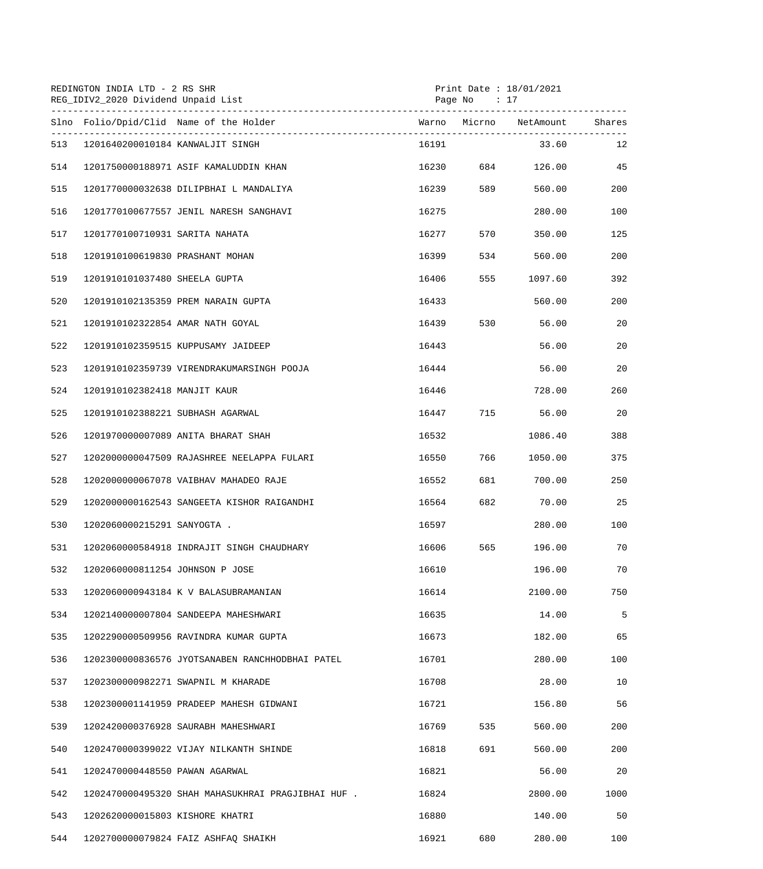|     | REDINGTON INDIA LTD - 2 RS SHR<br>Print Date : $18/01/2021$<br>REG_IDIV2_2020 Dividend Unpaid List<br>Page No : 17 |       |       |                        |        |
|-----|--------------------------------------------------------------------------------------------------------------------|-------|-------|------------------------|--------|
|     | Slno Folio/Dpid/Clid Name of the Holder                                                                            |       |       | Warno Micrno NetAmount | Shares |
| 513 | 1201640200010184 KANWALJIT SINGH                                                                                   | 16191 |       | 33.60                  | 12     |
| 514 | 1201750000188971 ASIF KAMALUDDIN KHAN                                                                              |       |       | 16230 684 126.00 45    |        |
| 515 | 1201770000032638 DILIPBHAI L MANDALIYA                                                                             | 16239 | 589   | 560.00                 | 200    |
| 516 | 1201770100677557 JENIL NARESH SANGHAVI                                                                             | 16275 |       | 280.00                 | 100    |
| 517 | 1201770100710931 SARITA NAHATA                                                                                     | 16277 | 570   | 350.00                 | 125    |
| 518 | 1201910100619830 PRASHANT MOHAN                                                                                    | 16399 | 534   | 560.00                 | 200    |
| 519 | 1201910101037480 SHEELA GUPTA                                                                                      | 16406 | 555   | 1097.60                | 392    |
| 520 | 1201910102135359 PREM NARAIN GUPTA                                                                                 | 16433 |       | 560.00                 | 200    |
| 521 | 1201910102322854 AMAR NATH GOYAL                                                                                   | 16439 |       | 530 56.00              | 20     |
| 522 | 1201910102359515 KUPPUSAMY JAIDEEP                                                                                 | 16443 |       | 56.00                  | 20     |
| 523 | 1201910102359739 VIRENDRAKUMARSINGH POOJA                                                                          | 16444 |       | 56.00                  | 20     |
| 524 | 1201910102382418 MANJIT KAUR                                                                                       | 16446 |       | 728.00                 | 260    |
| 525 | 1201910102388221 SUBHASH AGARWAL                                                                                   | 16447 |       | 715 56.00              | 20     |
| 526 | 1201970000007089 ANITA BHARAT SHAH                                                                                 | 16532 |       | 1086.40                | 388    |
| 527 | 1202000000047509 RAJASHREE NEELAPPA FULARI                                                                         | 16550 | 766   | 1050.00                | 375    |
| 528 | 1202000000067078 VAIBHAV MAHADEO RAJE                                                                              | 16552 | 681 7 | 700.00                 | 250    |
| 529 | 1202000000162543 SANGEETA KISHOR RAIGANDHI                                                                         | 16564 |       | 682 70.00              | 25     |
| 530 | 1202060000215291 SANYOGTA .                                                                                        | 16597 |       | 280.00                 | 100    |
| 531 | 1202060000584918 INDRAJIT SINGH CHAUDHARY                                                                          | 16606 | 565   | 196.00                 | 70     |
| 532 | 1202060000811254 JOHNSON P JOSE                                                                                    | 16610 |       | 196.00                 | 70     |
| 533 | 1202060000943184 K V BALASUBRAMANIAN                                                                               | 16614 |       | 2100.00                | 750    |
| 534 | 1202140000007804 SANDEEPA MAHESHWARI                                                                               | 16635 |       | 14.00                  | 5      |
| 535 | 1202290000509956 RAVINDRA KUMAR GUPTA                                                                              | 16673 |       | 182.00                 | 65     |
| 536 | 1202300000836576 JYOTSANABEN RANCHHODBHAI PATEL                                                                    | 16701 |       | 280.00                 | 100    |
| 537 | 1202300000982271 SWAPNIL M KHARADE                                                                                 | 16708 |       | 28.00                  | 10     |
| 538 | 1202300001141959 PRADEEP MAHESH GIDWANI                                                                            | 16721 |       | 156.80                 | 56     |
| 539 | 1202420000376928 SAURABH MAHESHWARI                                                                                | 16769 | 535   | 560.00                 | 200    |
| 540 | 1202470000399022 VIJAY NILKANTH SHINDE                                                                             | 16818 | 691   | 560.00                 | 200    |
| 541 | 1202470000448550 PAWAN AGARWAL                                                                                     | 16821 |       | 56.00                  | 20     |
| 542 | 1202470000495320 SHAH MAHASUKHRAI PRAGJIBHAI HUF.                                                                  | 16824 |       | 2800.00                | 1000   |
| 543 | 1202620000015803 KISHORE KHATRI                                                                                    | 16880 |       | 140.00                 | 50     |
| 544 | 1202700000079824 FAIZ ASHFAO SHAIKH                                                                                | 16921 | 680   | 280.00                 | 100    |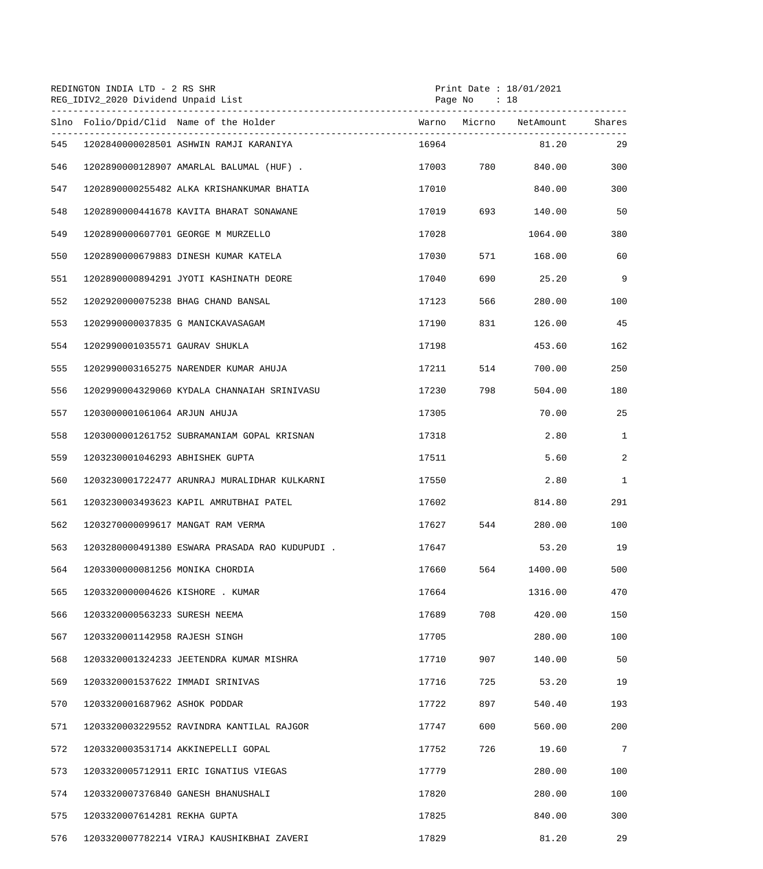|     | REDINGTON INDIA LTD - 2 RS SHR<br>REG_IDIV2_2020 Dividend Unpaid List |                                               |       | Print Date : $18/01/2021$<br>Page No $: 18$ |                  |                 |
|-----|-----------------------------------------------------------------------|-----------------------------------------------|-------|---------------------------------------------|------------------|-----------------|
|     |                                                                       | Slno Folio/Dpid/Clid Name of the Holder       |       |                                             |                  |                 |
| 545 |                                                                       | 1202840000028501 ASHWIN RAMJI KARANIYA        | 16964 |                                             | 81.20            | 29              |
| 546 |                                                                       | 1202890000128907 AMARLAL BALUMAL (HUF).       |       |                                             | 17003 780 840.00 | 300             |
| 547 |                                                                       | 1202890000255482 ALKA KRISHANKUMAR BHATIA     | 17010 |                                             | 840.00           | 300             |
| 548 |                                                                       | 1202890000441678 KAVITA BHARAT SONAWANE       | 17019 | 693 — 10                                    | 140.00           | 50              |
| 549 |                                                                       | 1202890000607701 GEORGE M MURZELLO            | 17028 |                                             | 1064.00          | 380             |
| 550 |                                                                       | 1202890000679883 DINESH KUMAR KATELA          | 17030 | 571                                         | 168.00           | 60              |
| 551 |                                                                       | 1202890000894291 JYOTI KASHINATH DEORE        | 17040 | 690                                         | 25.20            | 9               |
| 552 |                                                                       | 1202920000075238 BHAG CHAND BANSAL            | 17123 | 566                                         | 280.00           | 100             |
| 553 |                                                                       | 1202990000037835 G MANICKAVASAGAM             | 17190 | 831 — 10                                    | 126.00           | 45              |
| 554 | 1202990001035571 GAURAV SHUKLA                                        |                                               | 17198 |                                             | 453.60           | 162             |
| 555 |                                                                       | 1202990003165275 NARENDER KUMAR AHUJA         | 17211 | 514                                         | 700.00           | 250             |
| 556 |                                                                       | 1202990004329060 KYDALA CHANNAIAH SRINIVASU   | 17230 | 798                                         | 504.00           | 180             |
| 557 | 1203000001061064 ARJUN AHUJA                                          |                                               | 17305 |                                             | 70.00            | 25              |
| 558 |                                                                       | 1203000001261752 SUBRAMANIAM GOPAL KRISNAN    | 17318 |                                             | 2.80             | $\mathbf{1}$    |
| 559 | 1203230001046293 ABHISHEK GUPTA                                       |                                               | 17511 |                                             | 5.60             | $\overline{a}$  |
| 560 |                                                                       | 1203230001722477 ARUNRAJ MURALIDHAR KULKARNI  | 17550 |                                             | 2.80             | $\mathbf{1}$    |
| 561 |                                                                       | 1203230003493623 KAPIL AMRUTBHAI PATEL        | 17602 |                                             | 814.80           | 291             |
| 562 |                                                                       | 1203270000099617 MANGAT RAM VERMA             | 17627 | 544                                         | 280.00           | 100             |
| 563 |                                                                       | 1203280000491380 ESWARA PRASADA RAO KUDUPUDI. | 17647 |                                             | 53.20            | 19              |
| 564 | 1203300000081256 MONIKA CHORDIA                                       |                                               | 17660 | 564                                         | 1400.00          | 500             |
| 565 | 1203320000004626 KISHORE . KUMAR                                      |                                               | 17664 |                                             | 1316.00          | 470             |
| 566 | 1203320000563233 SURESH NEEMA                                         |                                               | 17689 | 708                                         | 420.00           | 150             |
| 567 | 1203320001142958 RAJESH SINGH                                         |                                               | 17705 |                                             | 280.00           | 100             |
| 568 |                                                                       | 1203320001324233 JEETENDRA KUMAR MISHRA       | 17710 | 907                                         | 140.00           | 50              |
| 569 | 1203320001537622 IMMADI SRINIVAS                                      |                                               | 17716 | 725                                         | 53.20            | 19              |
| 570 | 1203320001687962 ASHOK PODDAR                                         |                                               | 17722 | 897                                         | 540.40           | 193             |
| 571 |                                                                       | 1203320003229552 RAVINDRA KANTILAL RAJGOR     | 17747 | 600                                         | 560.00           | 200             |
| 572 |                                                                       | 1203320003531714 AKKINEPELLI GOPAL            | 17752 | 726                                         | 19.60            | $7\phantom{.0}$ |
| 573 |                                                                       | 1203320005712911 ERIC IGNATIUS VIEGAS         | 17779 |                                             | 280.00           | 100             |
| 574 |                                                                       | 1203320007376840 GANESH BHANUSHALI            | 17820 |                                             | 280.00           | 100             |
| 575 | 1203320007614281 REKHA GUPTA                                          |                                               | 17825 |                                             | 840.00           | 300             |
| 576 |                                                                       | 1203320007782214 VIRAJ KAUSHIKBHAI ZAVERI     | 17829 |                                             | 81.20            | 29              |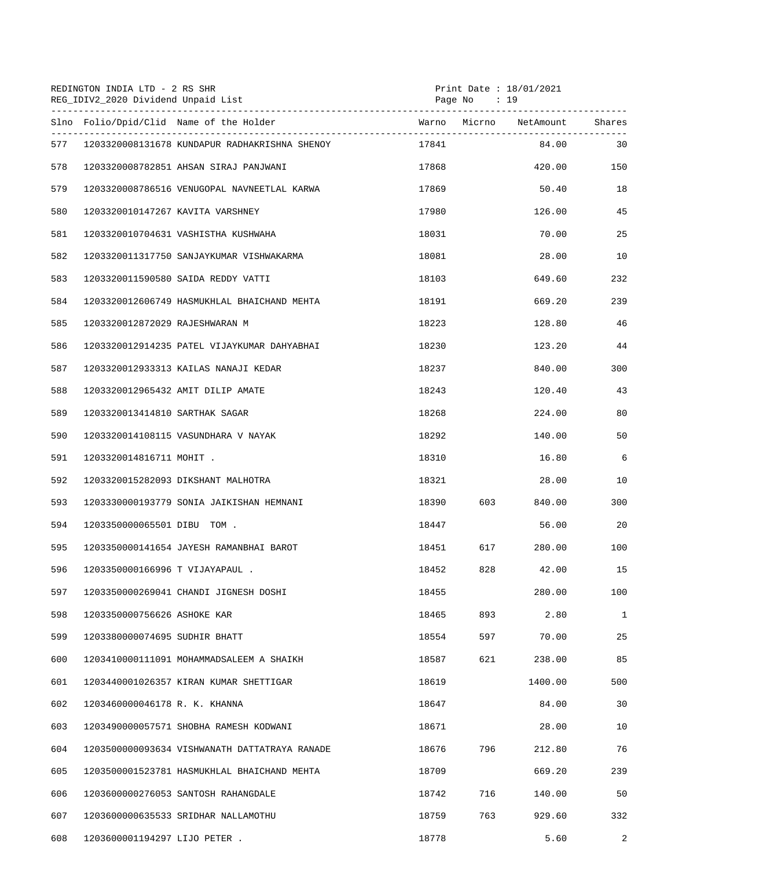|     | REDINGTON INDIA LTD - 2 RS SHR<br>REG_IDIV2_2020 Dividend Unpaid List |                                               |                        | Print Date : 18/01/2021<br>Page No : 19 |         |                |  |
|-----|-----------------------------------------------------------------------|-----------------------------------------------|------------------------|-----------------------------------------|---------|----------------|--|
|     |                                                                       | Slno Folio/Dpid/Clid Name of the Holder       | Warno Micrno NetAmount |                                         |         | Shares         |  |
| 577 |                                                                       | 1203320008131678 KUNDAPUR RADHAKRISHNA SHENOY | 17841                  |                                         | 84.00   | 30             |  |
| 578 |                                                                       | 1203320008782851 AHSAN SIRAJ PANJWANI         | 17868                  |                                         | 420.00  | 150            |  |
| 579 |                                                                       | 1203320008786516 VENUGOPAL NAVNEETLAL KARWA   | 17869                  |                                         | 50.40   | 18             |  |
| 580 | 1203320010147267 KAVITA VARSHNEY                                      |                                               | 17980                  |                                         | 126.00  | 45             |  |
| 581 |                                                                       | 1203320010704631 VASHISTHA KUSHWAHA           | 18031                  |                                         | 70.00   | 25             |  |
| 582 |                                                                       | 1203320011317750 SANJAYKUMAR VISHWAKARMA      | 18081                  |                                         | 28.00   | 10             |  |
| 583 |                                                                       | 1203320011590580 SAIDA REDDY VATTI            | 18103                  |                                         | 649.60  | 232            |  |
| 584 |                                                                       | 1203320012606749 HASMUKHLAL BHAICHAND MEHTA   | 18191                  |                                         | 669.20  | 239            |  |
| 585 | 1203320012872029 RAJESHWARAN M                                        |                                               | 18223                  |                                         | 128.80  | 46             |  |
| 586 |                                                                       | 1203320012914235 PATEL VIJAYKUMAR DAHYABHAI   | 18230                  |                                         | 123.20  | 44             |  |
| 587 |                                                                       | 1203320012933313 KAILAS NANAJI KEDAR          | 18237                  |                                         | 840.00  | 300            |  |
| 588 |                                                                       | 1203320012965432 AMIT DILIP AMATE             | 18243                  |                                         | 120.40  | 43             |  |
| 589 | 1203320013414810 SARTHAK SAGAR                                        |                                               | 18268                  |                                         | 224.00  | 80             |  |
| 590 |                                                                       | 1203320014108115 VASUNDHARA V NAYAK           | 18292                  |                                         | 140.00  | 50             |  |
| 591 | 1203320014816711 MOHIT.                                               |                                               | 18310                  |                                         | 16.80   | 6              |  |
| 592 |                                                                       | 1203320015282093 DIKSHANT MALHOTRA            | 18321                  |                                         | 28.00   | 10             |  |
| 593 |                                                                       | 1203330000193779 SONIA JAIKISHAN HEMNANI      | 18390                  | 603                                     | 840.00  | 300            |  |
| 594 | 1203350000065501 DIBU TOM .                                           |                                               | 18447                  |                                         | 56.00   | 20             |  |
| 595 |                                                                       | 1203350000141654 JAYESH RAMANBHAI BAROT       | 18451                  | 617                                     | 280.00  | 100            |  |
| 596 | 1203350000166996 T VIJAYAPAUL .                                       |                                               | 18452                  | 828                                     | 42.00   | 15             |  |
| 597 |                                                                       | 1203350000269041 CHANDI JIGNESH DOSHI         | 18455                  |                                         | 280.00  | 100            |  |
| 598 | 1203350000756626 ASHOKE KAR                                           |                                               | 18465                  | 893                                     | 2.80    | $\mathbf{1}$   |  |
| 599 | 1203380000074695 SUDHIR BHATT                                         |                                               | 18554                  | 597                                     | 70.00   | 25             |  |
| 600 |                                                                       | 1203410000111091 MOHAMMADSALEEM A SHAIKH      | 18587                  | 621                                     | 238.00  | 85             |  |
| 601 |                                                                       | 1203440001026357 KIRAN KUMAR SHETTIGAR        | 18619                  |                                         | 1400.00 | 500            |  |
| 602 | 1203460000046178 R. K. KHANNA                                         |                                               | 18647                  |                                         | 84.00   | 30             |  |
| 603 |                                                                       | 1203490000057571 SHOBHA RAMESH KODWANI        | 18671                  |                                         | 28.00   | 10             |  |
| 604 |                                                                       | 1203500000093634 VISHWANATH DATTATRAYA RANADE | 18676                  | 796                                     | 212.80  | 76             |  |
| 605 |                                                                       | 1203500001523781 HASMUKHLAL BHAICHAND MEHTA   | 18709                  |                                         | 669.20  | 239            |  |
| 606 |                                                                       | 1203600000276053 SANTOSH RAHANGDALE           | 18742                  | 716                                     | 140.00  | 50             |  |
| 607 |                                                                       | 1203600000635533 SRIDHAR NALLAMOTHU           | 18759                  | 763                                     | 929.60  | 332            |  |
| 608 | 1203600001194297 LIJO PETER .                                         |                                               | 18778                  |                                         | 5.60    | $\overline{a}$ |  |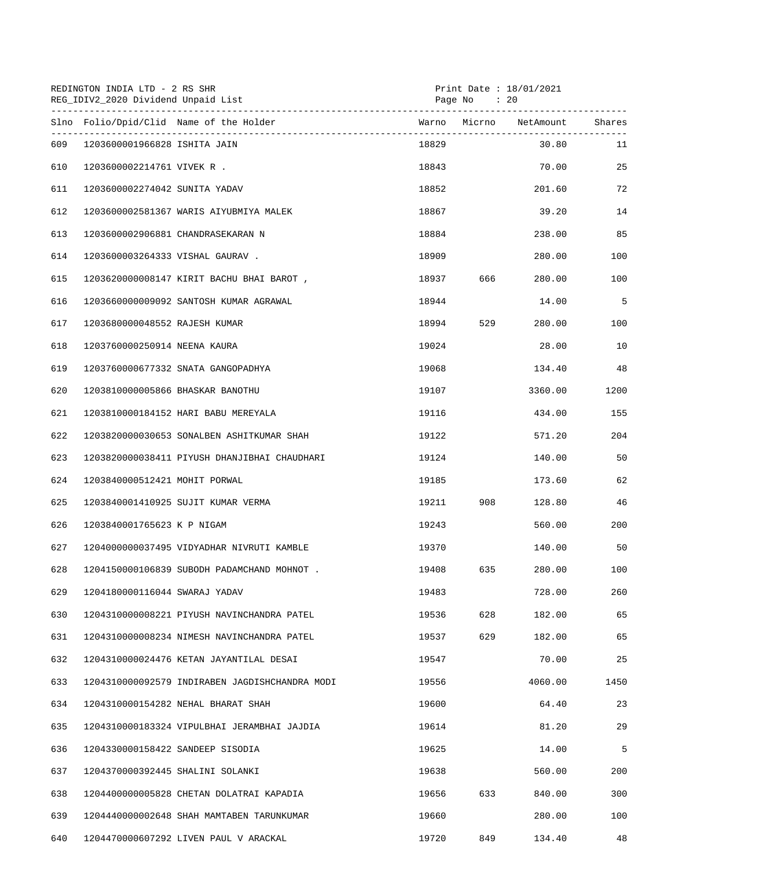|     | REDINGTON INDIA LTD - 2 RS SHR<br>REG_IDIV2_2020 Dividend Unpaid List<br>------------------------------ |                                                |       | Print Date : 18/01/2021<br>Page No : 20 |         |        |
|-----|---------------------------------------------------------------------------------------------------------|------------------------------------------------|-------|-----------------------------------------|---------|--------|
|     |                                                                                                         | Slno Folio/Dpid/Clid Name of the Holder        |       |                                         |         | Shares |
| 609 | 1203600001966828 ISHITA JAIN                                                                            |                                                | 18829 |                                         | 30.80   | 11     |
| 610 | 1203600002214761 VIVEK R .                                                                              |                                                | 18843 |                                         | 70.00   | 25     |
| 611 | 1203600002274042 SUNITA YADAV                                                                           |                                                | 18852 |                                         | 201.60  | 72     |
| 612 |                                                                                                         | 1203600002581367 WARIS AIYUBMIYA MALEK         | 18867 |                                         | 39.20   | 14     |
| 613 |                                                                                                         | 1203600002906881 CHANDRASEKARAN N              | 18884 |                                         | 238.00  | 85     |
| 614 | 1203600003264333 VISHAL GAURAV.                                                                         |                                                | 18909 |                                         | 280.00  | 100    |
| 615 |                                                                                                         | 1203620000008147 KIRIT BACHU BHAI BAROT,       | 18937 | 666                                     | 280.00  | 100    |
| 616 |                                                                                                         | 1203660000009092 SANTOSH KUMAR AGRAWAL         | 18944 |                                         | 14.00   | 5      |
| 617 | 1203680000048552 RAJESH KUMAR                                                                           |                                                | 18994 | 529                                     | 280.00  | 100    |
| 618 | 1203760000250914 NEENA KAURA                                                                            |                                                | 19024 |                                         | 28.00   | 10     |
| 619 |                                                                                                         | 1203760000677332 SNATA GANGOPADHYA             | 19068 |                                         | 134.40  | 48     |
| 620 | 1203810000005866 BHASKAR BANOTHU                                                                        |                                                | 19107 |                                         | 3360.00 | 1200   |
| 621 |                                                                                                         | 1203810000184152 HARI BABU MEREYALA            | 19116 |                                         | 434.00  | 155    |
| 622 |                                                                                                         | 1203820000030653 SONALBEN ASHITKUMAR SHAH      | 19122 |                                         | 571.20  | 204    |
| 623 |                                                                                                         | 1203820000038411 PIYUSH DHANJIBHAI CHAUDHARI   | 19124 |                                         | 140.00  | 50     |
| 624 | 1203840000512421 MOHIT PORWAL                                                                           |                                                | 19185 |                                         | 173.60  | 62     |
| 625 |                                                                                                         | 1203840001410925 SUJIT KUMAR VERMA             | 19211 | 908                                     | 128.80  | 46     |
| 626 | 1203840001765623 K P NIGAM                                                                              |                                                | 19243 |                                         | 560.00  | 200    |
| 627 |                                                                                                         | 1204000000037495 VIDYADHAR NIVRUTI KAMBLE      | 19370 |                                         | 140.00  | 50     |
| 628 |                                                                                                         | 1204150000106839 SUBODH PADAMCHAND MOHNOT.     | 19408 | 635                                     | 280.00  | 100    |
| 629 | 1204180000116044 SWARAJ YADAV                                                                           |                                                | 19483 |                                         | 728.00  | 260    |
| 630 |                                                                                                         | 1204310000008221 PIYUSH NAVINCHANDRA PATEL     | 19536 | 628                                     | 182.00  | 65     |
| 631 |                                                                                                         | 1204310000008234 NIMESH NAVINCHANDRA PATEL     | 19537 | 629                                     | 182.00  | 65     |
| 632 |                                                                                                         | 1204310000024476 KETAN JAYANTILAL DESAI        | 19547 |                                         | 70.00   | 25     |
| 633 |                                                                                                         | 1204310000092579 INDIRABEN JAGDISHCHANDRA MODI | 19556 |                                         | 4060.00 | 1450   |
| 634 |                                                                                                         | 1204310000154282 NEHAL BHARAT SHAH             | 19600 |                                         | 64.40   | 23     |
| 635 |                                                                                                         | 1204310000183324 VIPULBHAI JERAMBHAI JAJDIA    | 19614 |                                         | 81.20   | 29     |
| 636 | 1204330000158422 SANDEEP SISODIA                                                                        |                                                | 19625 |                                         | 14.00   | 5      |
| 637 | 1204370000392445 SHALINI SOLANKI                                                                        |                                                | 19638 |                                         | 560.00  | 200    |
| 638 |                                                                                                         | 1204400000005828 CHETAN DOLATRAI KAPADIA       | 19656 | 633                                     | 840.00  | 300    |
| 639 |                                                                                                         | 1204440000002648 SHAH MAMTABEN TARUNKUMAR      | 19660 |                                         | 280.00  | 100    |
| 640 |                                                                                                         | 1204470000607292 LIVEN PAUL V ARACKAL          | 19720 | 849                                     | 134.40  | $4\,8$ |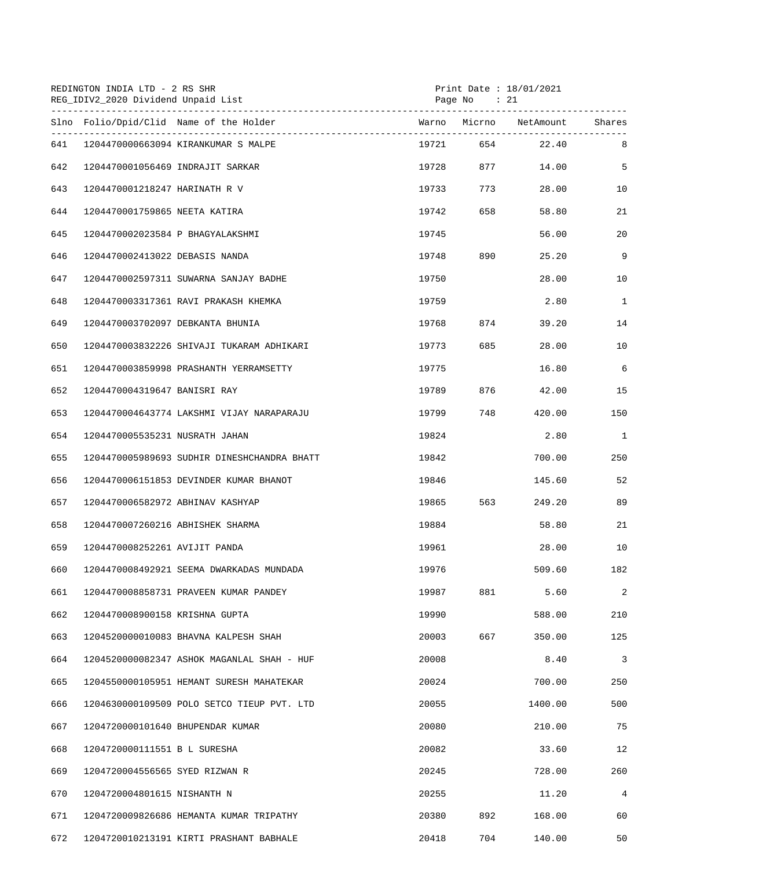|     | REDINGTON INDIA LTD - 2 RS SHR<br>REG_IDIV2_2020 Dividend Unpaid List<br>------------------------------ |       | Print Date: 18/01/2021<br>Page No : 21 |                  |                |
|-----|---------------------------------------------------------------------------------------------------------|-------|----------------------------------------|------------------|----------------|
|     | Slno Folio/Dpid/Clid Name of the Holder                                                                 |       |                                        |                  | Shares         |
| 641 | 1204470000663094 KIRANKUMAR S MALPE                                                                     | 19721 |                                        | 654 659<br>22.40 | 8              |
| 642 | 1204470001056469 INDRAJIT SARKAR                                                                        | 19728 |                                        | 877<br>14.00     | 5              |
| 643 | 1204470001218247 HARINATH R V                                                                           | 19733 |                                        | 773<br>28.00     | 10             |
| 644 | 1204470001759865 NEETA KATIRA                                                                           | 19742 | 658                                    | 58.80            | 21             |
| 645 | 1204470002023584 P BHAGYALAKSHMI                                                                        | 19745 |                                        | 56.00            | 20             |
| 646 | 1204470002413022 DEBASIS NANDA                                                                          | 19748 | 890                                    | 25.20            | 9              |
| 647 | 1204470002597311 SUWARNA SANJAY BADHE                                                                   | 19750 |                                        | 28.00            | 10             |
| 648 | 1204470003317361 RAVI PRAKASH KHEMKA                                                                    | 19759 |                                        | 2.80             | $\mathbf{1}$   |
| 649 | 1204470003702097 DEBKANTA BHUNIA                                                                        | 19768 |                                        | 874<br>39.20     | 14             |
| 650 | 1204470003832226 SHIVAJI TUKARAM ADHIKARI                                                               | 19773 | 685                                    | 28.00            | 10             |
| 651 | 1204470003859998 PRASHANTH YERRAMSETTY                                                                  | 19775 |                                        | 16.80            | 6              |
| 652 | 1204470004319647 BANISRI RAY                                                                            | 19789 | 876                                    | 42.00            | 15             |
| 653 | 1204470004643774 LAKSHMI VIJAY NARAPARAJU                                                               | 19799 | 748                                    | 420.00           | 150            |
| 654 | 1204470005535231 NUSRATH JAHAN                                                                          | 19824 |                                        | 2.80             | $\mathbf{1}$   |
| 655 | 1204470005989693 SUDHIR DINESHCHANDRA BHATT                                                             | 19842 |                                        | 700.00           | 250            |
| 656 | 1204470006151853 DEVINDER KUMAR BHANOT                                                                  | 19846 |                                        | 145.60           | 52             |
| 657 | 1204470006582972 ABHINAV KASHYAP                                                                        | 19865 | 563 — 10                               | 249.20           | 89             |
| 658 | 1204470007260216 ABHISHEK SHARMA                                                                        | 19884 |                                        | 58.80            | 21             |
| 659 | 1204470008252261 AVIJIT PANDA                                                                           | 19961 |                                        | 28.00            | 10             |
| 660 | 1204470008492921 SEEMA DWARKADAS MUNDADA                                                                | 19976 |                                        | 509.60           | 182            |
| 661 | 1204470008858731 PRAVEEN KUMAR PANDEY                                                                   | 19987 | 881                                    | 5.60             | 2              |
| 662 | 1204470008900158 KRISHNA GUPTA                                                                          | 19990 |                                        | 588.00           | 210            |
| 663 | 1204520000010083 BHAVNA KALPESH SHAH                                                                    | 20003 | 667                                    | 350.00           | 125            |
| 664 | 1204520000082347 ASHOK MAGANLAL SHAH - HUF                                                              | 20008 |                                        | 8.40             | 3              |
| 665 | 1204550000105951 HEMANT SURESH MAHATEKAR                                                                | 20024 |                                        | 700.00           | 250            |
| 666 | 1204630000109509 POLO SETCO TIEUP PVT. LTD                                                              | 20055 |                                        | 1400.00          | 500            |
| 667 | 1204720000101640 BHUPENDAR KUMAR                                                                        | 20080 |                                        | 210.00           | 75             |
| 668 | 1204720000111551 B L SURESHA                                                                            | 20082 |                                        | 33.60            | 12             |
| 669 | 1204720004556565 SYED RIZWAN R                                                                          | 20245 |                                        | 728.00           | 260            |
| 670 | 1204720004801615 NISHANTH N                                                                             | 20255 |                                        | 11.20            | $\overline{4}$ |
| 671 | 1204720009826686 HEMANTA KUMAR TRIPATHY                                                                 | 20380 | 892                                    | 168.00           | 60             |
| 672 | 1204720010213191 KIRTI PRASHANT BABHALE                                                                 | 20418 | 704                                    | 140.00           | 50             |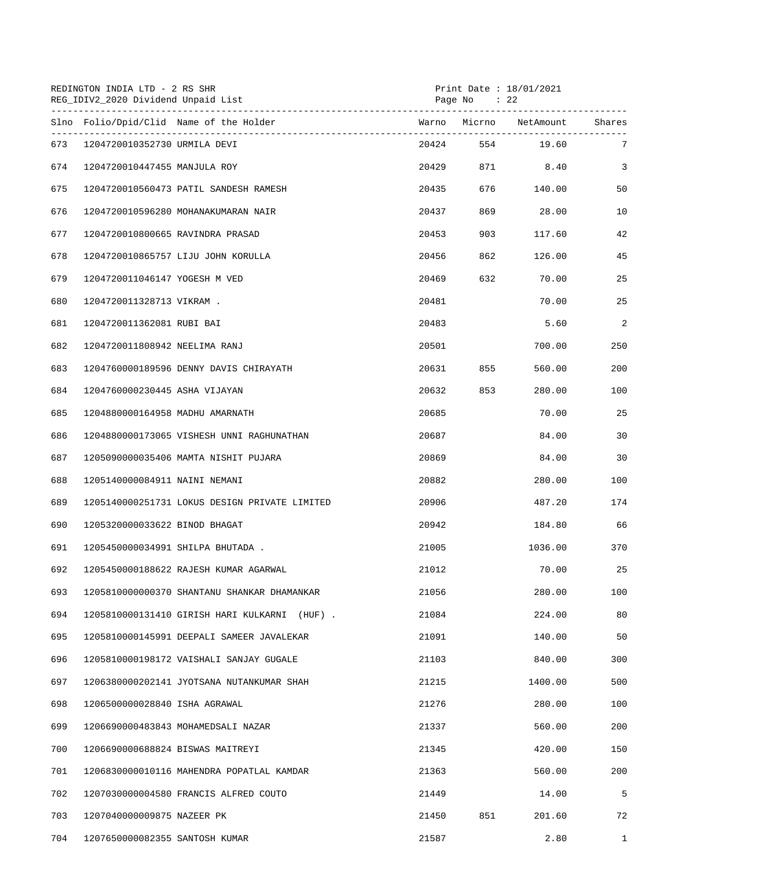|     | REDINGTON INDIA LTD - 2 RS SHR<br>REG_IDIV2_2020 Dividend Unpaid List<br>------------------------------- |                                               |       | Page No : 22 | Print Date : $18/01/2021$ |                |
|-----|----------------------------------------------------------------------------------------------------------|-----------------------------------------------|-------|--------------|---------------------------|----------------|
|     |                                                                                                          | Slno Folio/Dpid/Clid Name of the Holder       |       |              | Warno Micrno NetAmount    | Shares         |
| 673 | 1204720010352730 URMILA DEVI                                                                             |                                               | 20424 |              | 554 19.60                 | 7              |
| 674 | 1204720010447455 MANJULA ROY                                                                             |                                               | 20429 |              | 871 8.40                  | $\overline{3}$ |
| 675 |                                                                                                          | 1204720010560473 PATIL SANDESH RAMESH         | 20435 | 676 — 17     | 140.00                    | 50             |
| 676 |                                                                                                          | 1204720010596280 MOHANAKUMARAN NAIR           | 20437 | 869          | 28.00                     | 10             |
| 677 | 1204720010800665 RAVINDRA PRASAD                                                                         |                                               | 20453 | 903          | 117.60                    | 42             |
| 678 |                                                                                                          | 1204720010865757 LIJU JOHN KORULLA            | 20456 | 862          | 126.00                    | 45             |
| 679 | 1204720011046147 YOGESH M VED                                                                            |                                               | 20469 | 632          | 70.00                     | 25             |
| 680 | 1204720011328713 VIKRAM .                                                                                |                                               | 20481 |              | 70.00                     | 25             |
| 681 | 1204720011362081 RUBI BAI                                                                                |                                               | 20483 |              | 5.60                      | 2              |
| 682 | 1204720011808942 NEELIMA RANJ                                                                            |                                               | 20501 |              | 700.00                    | 250            |
| 683 |                                                                                                          | 1204760000189596 DENNY DAVIS CHIRAYATH        | 20631 | 855          | 560.00                    | 200            |
| 684 | 1204760000230445 ASHA VIJAYAN                                                                            |                                               | 20632 | 853          | 280.00                    | 100            |
| 685 | 1204880000164958 MADHU AMARNATH                                                                          |                                               | 20685 |              | 70.00                     | 25             |
| 686 |                                                                                                          | 1204880000173065 VISHESH UNNI RAGHUNATHAN     | 20687 |              | 84.00                     | 30             |
| 687 |                                                                                                          | 1205090000035406 MAMTA NISHIT PUJARA          | 20869 |              | 84.00                     | 30             |
| 688 | 1205140000084911 NAINI NEMANI                                                                            |                                               | 20882 |              | 280.00                    | 100            |
| 689 |                                                                                                          | 1205140000251731 LOKUS DESIGN PRIVATE LIMITED | 20906 |              | 487.20                    | 174            |
| 690 | 1205320000033622 BINOD BHAGAT                                                                            |                                               | 20942 |              | 184.80                    | 66             |
| 691 |                                                                                                          | 1205450000034991 SHILPA BHUTADA.              | 21005 |              | 1036.00                   | 370            |
| 692 |                                                                                                          | 1205450000188622 RAJESH KUMAR AGARWAL         | 21012 |              | 70.00                     | 25             |
| 693 |                                                                                                          | 1205810000000370 SHANTANU SHANKAR DHAMANKAR   | 21056 |              | 280.00                    | 100            |
| 694 |                                                                                                          | 1205810000131410 GIRISH HARI KULKARNI (HUF).  | 21084 |              | 224.00                    | 80             |
| 695 |                                                                                                          | 1205810000145991 DEEPALI SAMEER JAVALEKAR     | 21091 |              | 140.00                    | 50             |
| 696 |                                                                                                          | 1205810000198172 VAISHALI SANJAY GUGALE       | 21103 |              | 840.00                    | 300            |
| 697 |                                                                                                          | 1206380000202141 JYOTSANA NUTANKUMAR SHAH     | 21215 |              | 1400.00                   | 500            |
| 698 | 1206500000028840 ISHA AGRAWAL                                                                            |                                               | 21276 |              | 280.00                    | 100            |
| 699 |                                                                                                          | 1206690000483843 MOHAMEDSALI NAZAR            | 21337 |              | 560.00                    | 200            |
| 700 | 1206690000688824 BISWAS MAITREYI                                                                         |                                               | 21345 |              | 420.00                    | 150            |
| 701 |                                                                                                          | 1206830000010116 MAHENDRA POPATLAL KAMDAR     | 21363 |              | 560.00                    | 200            |
| 702 |                                                                                                          | 1207030000004580 FRANCIS ALFRED COUTO         | 21449 |              | 14.00                     | 5              |
| 703 | 1207040000009875 NAZEER PK                                                                               |                                               | 21450 | 851          | 201.60                    | 72             |
| 704 | 1207650000082355 SANTOSH KUMAR                                                                           |                                               | 21587 |              | 2.80                      | $\mathbf{1}$   |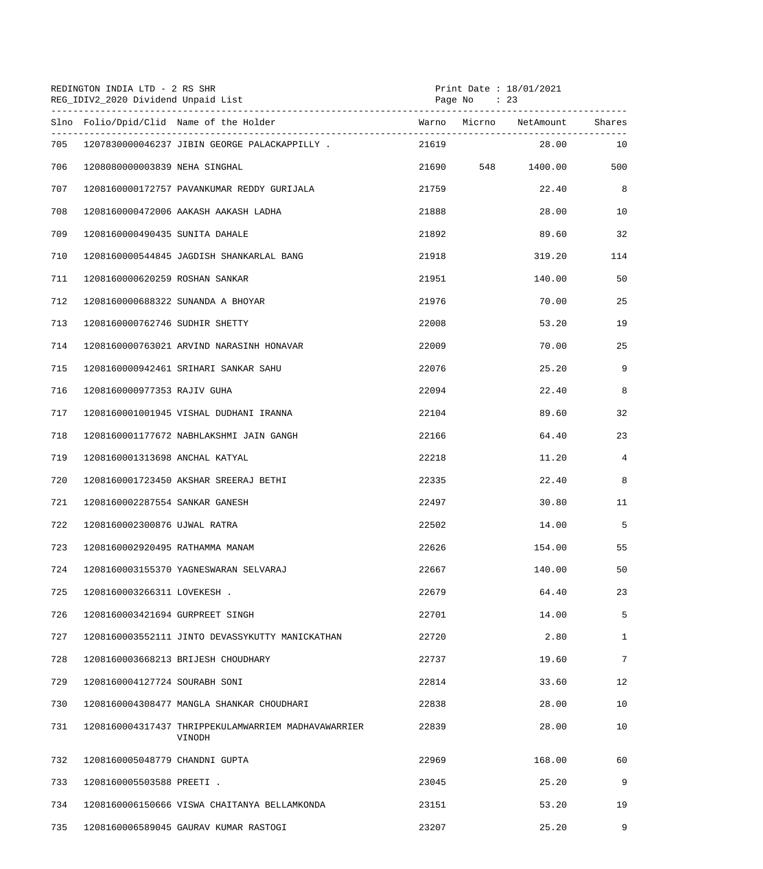|     | REDINGTON INDIA LTD - 2 RS SHR<br>REG_IDIV2_2020 Dividend Unpaid List |                                                               | Print Date: 18/01/2021<br>Page No : 23 |  |                   |                 |
|-----|-----------------------------------------------------------------------|---------------------------------------------------------------|----------------------------------------|--|-------------------|-----------------|
|     |                                                                       | Slno Folio/Dpid/Clid Name of the Holder                       |                                        |  |                   | Shares          |
| 705 |                                                                       | 1207830000046237 JIBIN GEORGE PALACKAPPILLY.                  | 21619                                  |  | 28.00             | 10              |
| 706 | 1208080000003839 NEHA SINGHAL                                         |                                                               |                                        |  | 21690 548 1400.00 | 500             |
| 707 |                                                                       | 1208160000172757 PAVANKUMAR REDDY GURIJALA                    | 21759                                  |  | 22.40             | 8               |
| 708 |                                                                       | 1208160000472006 AAKASH AAKASH LADHA                          | 21888                                  |  | 28.00             | 10              |
| 709 | 1208160000490435 SUNITA DAHALE                                        |                                                               | 21892                                  |  | 89.60             | 32              |
| 710 |                                                                       | 1208160000544845 JAGDISH SHANKARLAL BANG                      | 21918                                  |  | 319.20            | 114             |
| 711 | 1208160000620259 ROSHAN SANKAR                                        |                                                               | 21951                                  |  | 140.00            | 50              |
| 712 |                                                                       | 1208160000688322 SUNANDA A BHOYAR                             | 21976                                  |  | 70.00             | 25              |
| 713 | 1208160000762746 SUDHIR SHETTY                                        |                                                               | 22008                                  |  | 53.20             | 19              |
| 714 |                                                                       | 1208160000763021 ARVIND NARASINH HONAVAR                      | 22009                                  |  | 70.00             | 25              |
| 715 |                                                                       | 1208160000942461 SRIHARI SANKAR SAHU                          | 22076                                  |  | 25.20             | 9               |
| 716 | 1208160000977353 RAJIV GUHA                                           |                                                               | 22094                                  |  | 22.40             | 8               |
| 717 |                                                                       | 1208160001001945 VISHAL DUDHANI IRANNA                        | 22104                                  |  | 89.60             | 32              |
| 718 |                                                                       | 1208160001177672 NABHLAKSHMI JAIN GANGH                       | 22166                                  |  | 64.40             | 23              |
| 719 | 1208160001313698 ANCHAL KATYAL                                        |                                                               | 22218                                  |  | 11.20             | 4               |
| 720 |                                                                       | 1208160001723450 AKSHAR SREERAJ BETHI                         | 22335                                  |  | 22.40             | 8               |
| 721 | 1208160002287554 SANKAR GANESH                                        |                                                               | 22497                                  |  | 30.80             | 11              |
| 722 | 1208160002300876 UJWAL RATRA                                          |                                                               | 22502                                  |  | 14.00             | 5               |
| 723 | 1208160002920495 RATHAMMA MANAM                                       |                                                               | 22626                                  |  | 154.00            | 55              |
| 724 |                                                                       | 1208160003155370 YAGNESWARAN SELVARAJ                         | 22667                                  |  | 140.00            | 50              |
| 725 | 1208160003266311 LOVEKESH .                                           |                                                               | 22679                                  |  | 64.40             | 23              |
| 726 | 1208160003421694 GURPREET SINGH                                       |                                                               | 22701                                  |  | 14.00             | 5               |
| 727 |                                                                       | 1208160003552111 JINTO DEVASSYKUTTY MANICKATHAN               | 22720                                  |  | 2.80              | $\mathbf{1}$    |
| 728 |                                                                       | 1208160003668213 BRIJESH CHOUDHARY                            | 22737                                  |  | 19.60             | $7\overline{ }$ |
| 729 | 1208160004127724 SOURABH SONI                                         |                                                               | 22814                                  |  | 33.60             | 12              |
| 730 |                                                                       | 1208160004308477 MANGLA SHANKAR CHOUDHARI                     | 22838                                  |  | 28.00             | 10              |
| 731 |                                                                       | 1208160004317437 THRIPPEKULAMWARRIEM MADHAVAWARRIER<br>VINODH | 22839                                  |  | 28.00             | 10              |
| 732 | 1208160005048779 CHANDNI GUPTA                                        |                                                               | 22969                                  |  | 168.00            | 60              |
| 733 | 1208160005503588 PREETI .                                             |                                                               | 23045                                  |  | 25.20             | 9               |
| 734 |                                                                       | 1208160006150666 VISWA CHAITANYA BELLAMKONDA                  | 23151                                  |  | 53.20             | 19              |
| 735 |                                                                       | 1208160006589045 GAURAV KUMAR RASTOGI                         | 23207                                  |  | 25.20             | 9               |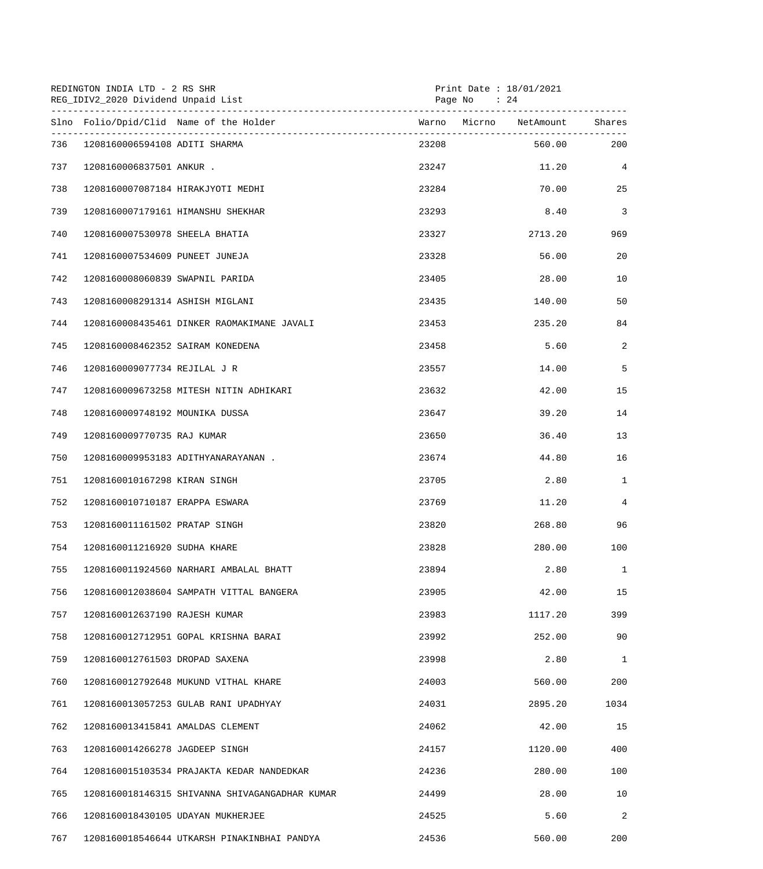|     | REDINGTON INDIA LTD - 2 RS SHR<br>REG_IDIV2_2020 Dividend Unpaid List<br>------------------------------- | Print Date : 18/01/2021<br>Page No : 24 |         |                |  |
|-----|----------------------------------------------------------------------------------------------------------|-----------------------------------------|---------|----------------|--|
|     | Slno Folio/Dpid/Clid Name of the Holder                                                                  |                                         |         |                |  |
| 736 | 1208160006594108 ADITI SHARMA                                                                            | 23208                                   | 560.00  | 200            |  |
| 737 | 1208160006837501 ANKUR .                                                                                 | 23247                                   | 11.20   | $\overline{4}$ |  |
| 738 | 1208160007087184 HIRAKJYOTI MEDHI                                                                        | 23284                                   | 70.00   | 25             |  |
| 739 | 1208160007179161 HIMANSHU SHEKHAR                                                                        | 23293                                   | 8.40    | $\overline{3}$ |  |
| 740 | 1208160007530978 SHEELA BHATIA                                                                           | 23327                                   | 2713.20 | 969            |  |
| 741 | 1208160007534609 PUNEET JUNEJA                                                                           | 23328                                   | 56.00   | 20             |  |
| 742 | 1208160008060839 SWAPNIL PARIDA                                                                          | 23405                                   | 28.00   | 10             |  |
| 743 | 1208160008291314 ASHISH MIGLANI                                                                          | 23435                                   | 140.00  | 50             |  |
| 744 | 1208160008435461 DINKER RAOMAKIMANE JAVALI                                                               | 23453                                   | 235.20  | 84             |  |
| 745 | 1208160008462352 SAIRAM KONEDENA                                                                         | 23458                                   | 5.60    | 2              |  |
| 746 | 1208160009077734 REJILAL J R                                                                             | 23557                                   | 14.00   | 5              |  |
| 747 | 1208160009673258 MITESH NITIN ADHIKARI                                                                   | 23632                                   | 42.00   | 15             |  |
| 748 | 1208160009748192 MOUNIKA DUSSA                                                                           | 23647                                   | 39.20   | 14             |  |
| 749 | 1208160009770735 RAJ KUMAR                                                                               | 23650                                   | 36.40   | 13             |  |
| 750 | 1208160009953183 ADITHYANARAYANAN .                                                                      | 23674                                   | 44.80   | 16             |  |
| 751 | 1208160010167298 KIRAN SINGH                                                                             | 23705                                   | 2.80    | $\mathbf{1}$   |  |
| 752 | 1208160010710187 ERAPPA ESWARA                                                                           | 23769                                   | 11.20   | $\overline{4}$ |  |
| 753 | 1208160011161502 PRATAP SINGH                                                                            | 23820                                   | 268.80  | 96             |  |
| 754 | 1208160011216920 SUDHA KHARE                                                                             | 23828                                   | 280.00  | 100            |  |
| 755 | 1208160011924560 NARHARI AMBALAL BHATT                                                                   | 23894                                   | 2.80    | $\mathbf{1}$   |  |
| 756 | 1208160012038604 SAMPATH VITTAL BANGERA                                                                  | 23905                                   | 42.00   | 15             |  |
| 757 | 1208160012637190 RAJESH KUMAR                                                                            | 23983                                   | 1117.20 | 399            |  |
| 758 | 1208160012712951 GOPAL KRISHNA BARAI                                                                     | 23992                                   | 252.00  | 90             |  |
| 759 | 1208160012761503 DROPAD SAXENA                                                                           | 23998                                   | 2.80    | $\mathbf{1}$   |  |
| 760 | 1208160012792648 MUKUND VITHAL KHARE                                                                     | 24003                                   | 560.00  | 200            |  |
| 761 | 1208160013057253 GULAB RANI UPADHYAY                                                                     | 24031                                   | 2895.20 | 1034           |  |
| 762 | 1208160013415841 AMALDAS CLEMENT                                                                         | 24062                                   | 42.00   | 15             |  |
| 763 | 1208160014266278 JAGDEEP SINGH                                                                           | 24157                                   | 1120.00 | 400            |  |
| 764 | 1208160015103534 PRAJAKTA KEDAR NANDEDKAR                                                                | 24236                                   | 280.00  | 100            |  |
| 765 | 1208160018146315 SHIVANNA SHIVAGANGADHAR KUMAR                                                           | 24499                                   | 28.00   | 10             |  |
| 766 | 1208160018430105 UDAYAN MUKHERJEE                                                                        | 24525                                   | 5.60    | 2              |  |
| 767 | 1208160018546644 UTKARSH PINAKINBHAI PANDYA                                                              | 24536                                   | 560.00  | 200            |  |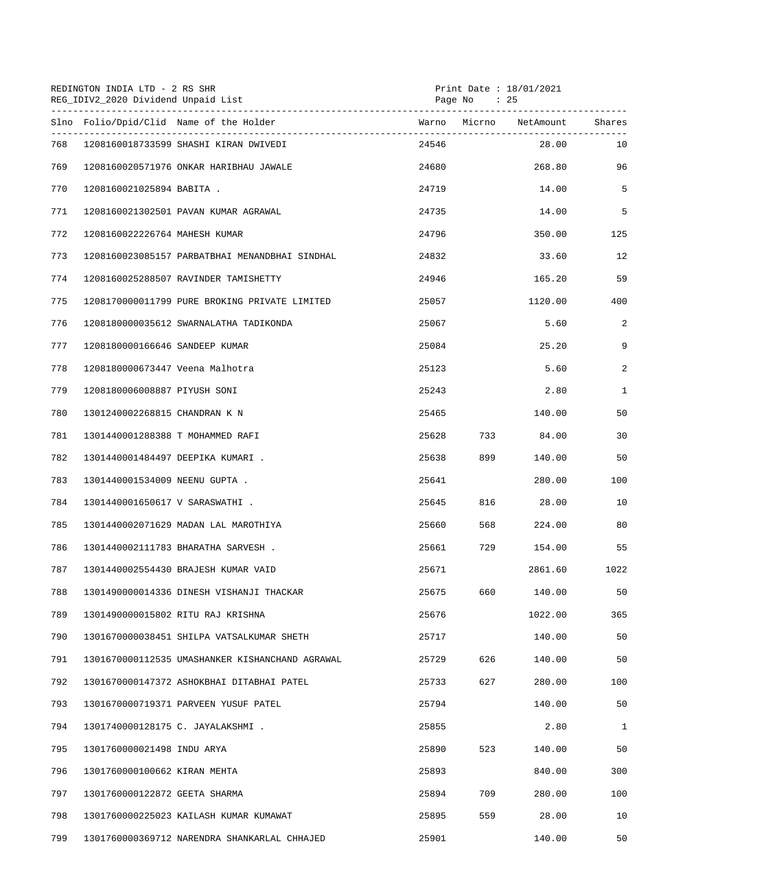| REDINGTON INDIA LTD - 2 RS SHR<br>REG_IDIV2_2020 Dividend Unpaid List |                                  |                                                 | Print Date: 18/01/2021<br>Page No : 25 |          |                               |              |  |
|-----------------------------------------------------------------------|----------------------------------|-------------------------------------------------|----------------------------------------|----------|-------------------------------|--------------|--|
|                                                                       |                                  | Slno Folio/Dpid/Clid Name of the Holder         |                                        |          | Warno Micrno NetAmount Shares |              |  |
| 768                                                                   |                                  | 1208160018733599 SHASHI KIRAN DWIVEDI           | 24546                                  |          | 28.00                         | 10           |  |
| 769                                                                   |                                  | 1208160020571976 ONKAR HARIBHAU JAWALE          | 24680                                  |          | 268.80                        | 96           |  |
| 770                                                                   | 1208160021025894 BABITA .        |                                                 | 24719                                  |          | 14.00                         | 5            |  |
| 771                                                                   |                                  | 1208160021302501 PAVAN KUMAR AGRAWAL            | 24735                                  |          | 14.00                         | 5            |  |
| 772                                                                   | 1208160022226764 MAHESH KUMAR    |                                                 | 24796                                  |          | 350.00                        | 125          |  |
| 773                                                                   |                                  | 1208160023085157 PARBATBHAI MENANDBHAI SINDHAL  | 24832                                  |          | 33.60                         | 12           |  |
| 774                                                                   |                                  | 1208160025288507 RAVINDER TAMISHETTY            | 24946                                  |          | 165.20                        | 59           |  |
| 775                                                                   |                                  | 1208170000011799 PURE BROKING PRIVATE LIMITED   | 25057                                  |          | 1120.00                       | 400          |  |
| 776                                                                   |                                  | 1208180000035612 SWARNALATHA TADIKONDA          | 25067                                  |          | 5.60                          | 2            |  |
| 777                                                                   | 1208180000166646 SANDEEP KUMAR   |                                                 | 25084                                  |          | 25.20                         | 9            |  |
| 778                                                                   | 1208180000673447 Veena Malhotra  |                                                 | 25123                                  |          | 5.60                          | 2            |  |
| 779                                                                   | 1208180006008887 PIYUSH SONI     |                                                 | 25243                                  |          | 2.80                          | $\mathbf{1}$ |  |
| 780                                                                   | 1301240002268815 CHANDRAN K N    |                                                 | 25465                                  |          | 140.00                        | 50           |  |
| 781                                                                   | 1301440001288388 T MOHAMMED RAFI |                                                 | 25628                                  |          | 733 84.00                     | 30           |  |
| 782                                                                   |                                  | 1301440001484497 DEEPIKA KUMARI.                | 25638                                  | 899 — 10 | 140.00                        | 50           |  |
| 783                                                                   | 1301440001534009 NEENU GUPTA.    |                                                 | 25641                                  |          | 280.00                        | 100          |  |
| 784                                                                   | 1301440001650617 V SARASWATHI .  |                                                 | 25645                                  | 816      | 28.00                         | 10           |  |
| 785                                                                   |                                  | 1301440002071629 MADAN LAL MAROTHIYA            | 25660                                  | 568      | 224.00                        | 80           |  |
| 786                                                                   |                                  | 1301440002111783 BHARATHA SARVESH.              | 25661                                  | 729      | 154.00                        | 55           |  |
| 787                                                                   |                                  | 1301440002554430 BRAJESH KUMAR VAID             | 25671                                  |          | 2861.60                       | 1022         |  |
| 788                                                                   |                                  | 1301490000014336 DINESH VISHANJI THACKAR        | 25675                                  | 660      | 140.00                        | 50           |  |
| 789                                                                   |                                  | 1301490000015802 RITU RAJ KRISHNA               | 25676                                  |          | 1022.00                       | 365          |  |
| 790                                                                   |                                  | 1301670000038451 SHILPA VATSALKUMAR SHETH       | 25717                                  |          | 140.00                        | 50           |  |
| 791                                                                   |                                  | 1301670000112535 UMASHANKER KISHANCHAND AGRAWAL | 25729                                  | 626      | 140.00                        | 50           |  |
| 792                                                                   |                                  | 1301670000147372 ASHOKBHAI DITABHAI PATEL       | 25733                                  | 627      | 280.00                        | 100          |  |
| 793                                                                   |                                  | 1301670000719371 PARVEEN YUSUF PATEL            | 25794                                  |          | 140.00                        | 50           |  |
| 794                                                                   |                                  | 1301740000128175 C. JAYALAKSHMI.                | 25855                                  |          | 2.80                          | $\mathbf{1}$ |  |
| 795                                                                   | 1301760000021498 INDU ARYA       |                                                 | 25890                                  | 523      | 140.00                        | 50           |  |
| 796                                                                   | 1301760000100662 KIRAN MEHTA     |                                                 | 25893                                  |          | 840.00                        | 300          |  |
| 797                                                                   | 1301760000122872 GEETA SHARMA    |                                                 | 25894                                  | 709      | 280.00                        | 100          |  |
| 798                                                                   |                                  | 1301760000225023 KAILASH KUMAR KUMAWAT          | 25895                                  | 559      | 28.00                         | 10           |  |
| 799                                                                   |                                  | 1301760000369712 NARENDRA SHANKARLAL CHHAJED    | 25901                                  |          | 140.00                        | 50           |  |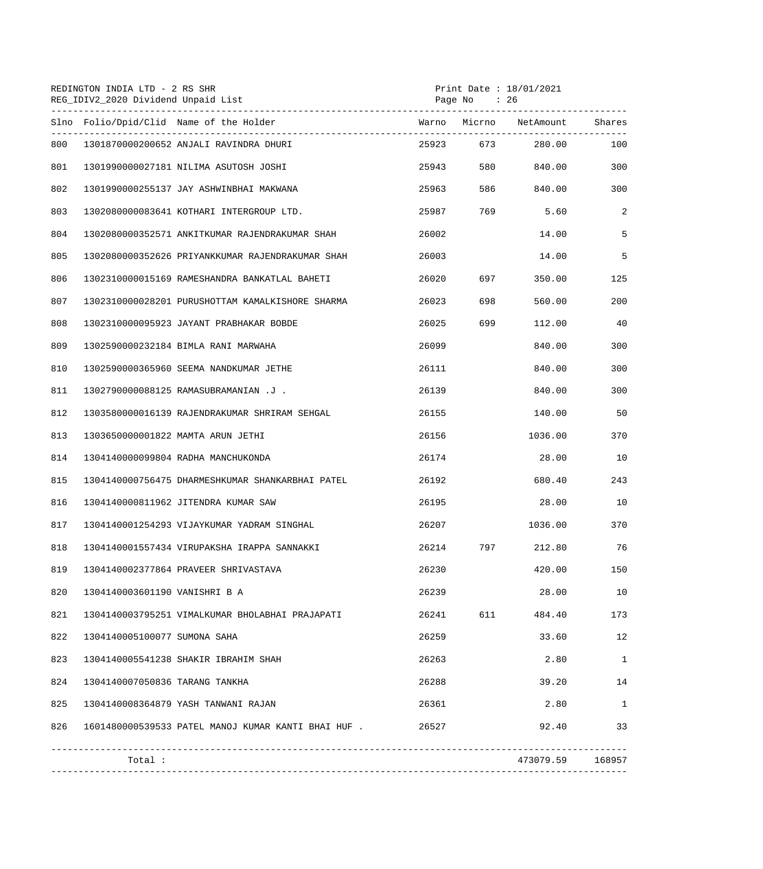| REDINGTON INDIA LTD - 2 RS SHR<br>REG_IDIV2_2020 Dividend Unpaid List |                                |                                                  |       | Print Date : 18/01/2021<br>Page No : 26 |                               |              |
|-----------------------------------------------------------------------|--------------------------------|--------------------------------------------------|-------|-----------------------------------------|-------------------------------|--------------|
|                                                                       |                                | Slno Folio/Dpid/Clid Name of the Holder          |       |                                         | Warno Micrno NetAmount Shares |              |
| 800                                                                   |                                | 1301870000200652 ANJALI RAVINDRA DHURI           | 25923 |                                         | 673 280.00                    | 100          |
| 801                                                                   |                                | 1301990000027181 NILIMA ASUTOSH JOSHI            | 25943 |                                         | 580 7<br>840.00               | 300          |
| 802                                                                   |                                | 1301990000255137 JAY ASHWINBHAI MAKWANA          | 25963 |                                         | 586 840.00                    | 300          |
| 803                                                                   |                                | 1302080000083641 KOTHARI INTERGROUP LTD.         | 25987 | 769                                     | 5.60                          | 2            |
| 804                                                                   |                                | 1302080000352571 ANKITKUMAR RAJENDRAKUMAR SHAH   | 26002 |                                         | 14.00                         | 5            |
| 805                                                                   |                                | 1302080000352626 PRIYANKKUMAR RAJENDRAKUMAR SHAH | 26003 |                                         | 14.00                         | 5            |
| 806                                                                   |                                | 1302310000015169 RAMESHANDRA BANKATLAL BAHETI    | 26020 | 697 — 10                                | 350.00                        | 125          |
| 807                                                                   |                                | 1302310000028201 PURUSHOTTAM KAMALKISHORE SHARMA | 26023 | 698                                     | 560.00                        | 200          |
| 808                                                                   |                                | 1302310000095923 JAYANT PRABHAKAR BOBDE          | 26025 | 699                                     | 112.00                        | 40           |
| 809                                                                   |                                | 1302590000232184 BIMLA RANI MARWAHA              | 26099 |                                         | 840.00                        | 300          |
| 810                                                                   |                                | 1302590000365960 SEEMA NANDKUMAR JETHE           | 26111 |                                         | 840.00                        | 300          |
| 811                                                                   |                                | 1302790000088125 RAMASUBRAMANIAN .J .            | 26139 |                                         | 840.00                        | 300          |
| 812                                                                   |                                | 1303580000016139 RAJENDRAKUMAR SHRIRAM SEHGAL    | 26155 |                                         | 140.00                        | 50           |
| 813                                                                   |                                | 1303650000001822 MAMTA ARUN JETHI                | 26156 |                                         | 1036.00                       | 370          |
| 814                                                                   |                                | 1304140000099804 RADHA MANCHUKONDA               | 26174 |                                         | 28.00                         | 10           |
| 815                                                                   |                                | 1304140000756475 DHARMESHKUMAR SHANKARBHAI PATEL | 26192 |                                         | 680.40                        | 243          |
| 816                                                                   |                                | 1304140000811962 JITENDRA KUMAR SAW              | 26195 |                                         | 28.00                         | 10           |
| 817                                                                   |                                | 1304140001254293 VIJAYKUMAR YADRAM SINGHAL       | 26207 |                                         | 1036.00                       | 370          |
| 818                                                                   |                                | 1304140001557434 VIRUPAKSHA IRAPPA SANNAKKI      | 26214 | 797                                     | 212.80                        | 76           |
| 819                                                                   |                                | 1304140002377864 PRAVEER SHRIVASTAVA             | 26230 |                                         | 420.00                        | 150          |
| 820                                                                   | 1304140003601190 VANISHRI B A  |                                                  | 26239 |                                         | 28.00                         | 10           |
| 821                                                                   |                                | 1304140003795251 VIMALKUMAR BHOLABHAI PRAJAPATI  | 26241 | 611 7                                   | 484.40                        | 173          |
| 822                                                                   | 1304140005100077 SUMONA SAHA   |                                                  | 26259 |                                         | 33.60                         | 12           |
| 823                                                                   |                                | 1304140005541238 SHAKIR IBRAHIM SHAH             | 26263 |                                         | 2.80                          | $\mathbf{1}$ |
| 824                                                                   | 1304140007050836 TARANG TANKHA |                                                  | 26288 |                                         | 39.20                         | 14           |
| 825                                                                   |                                | 1304140008364879 YASH TANWANI RAJAN              | 26361 |                                         | 2.80                          | $\mathbf{1}$ |
| 826                                                                   |                                |                                                  | 26527 |                                         | 92.40                         | 33           |
|                                                                       |                                |                                                  |       |                                         |                               |              |
|                                                                       | Total:                         |                                                  |       |                                         | 473079.59 168957              |              |